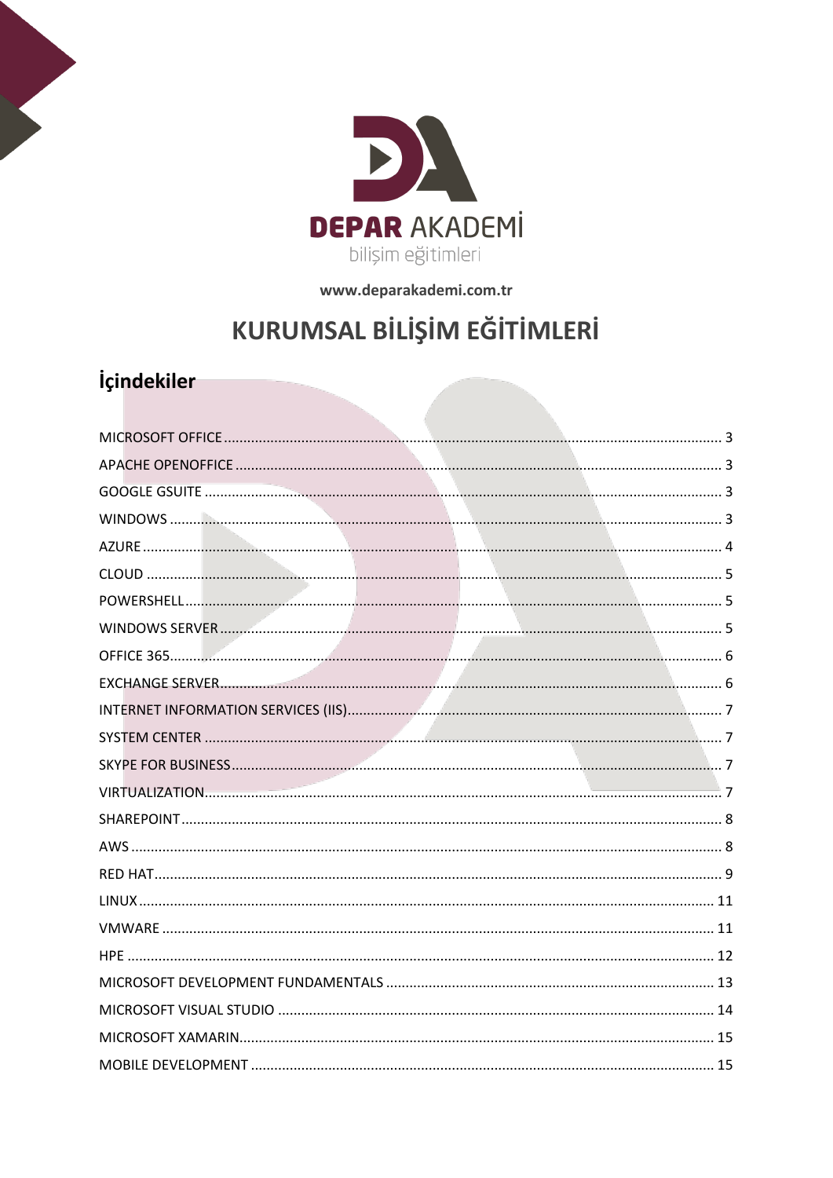

www.deparakademi.com.tr

## KURUMSAL BİLİŞİM EĞİTİMLERİ

## İçindekiler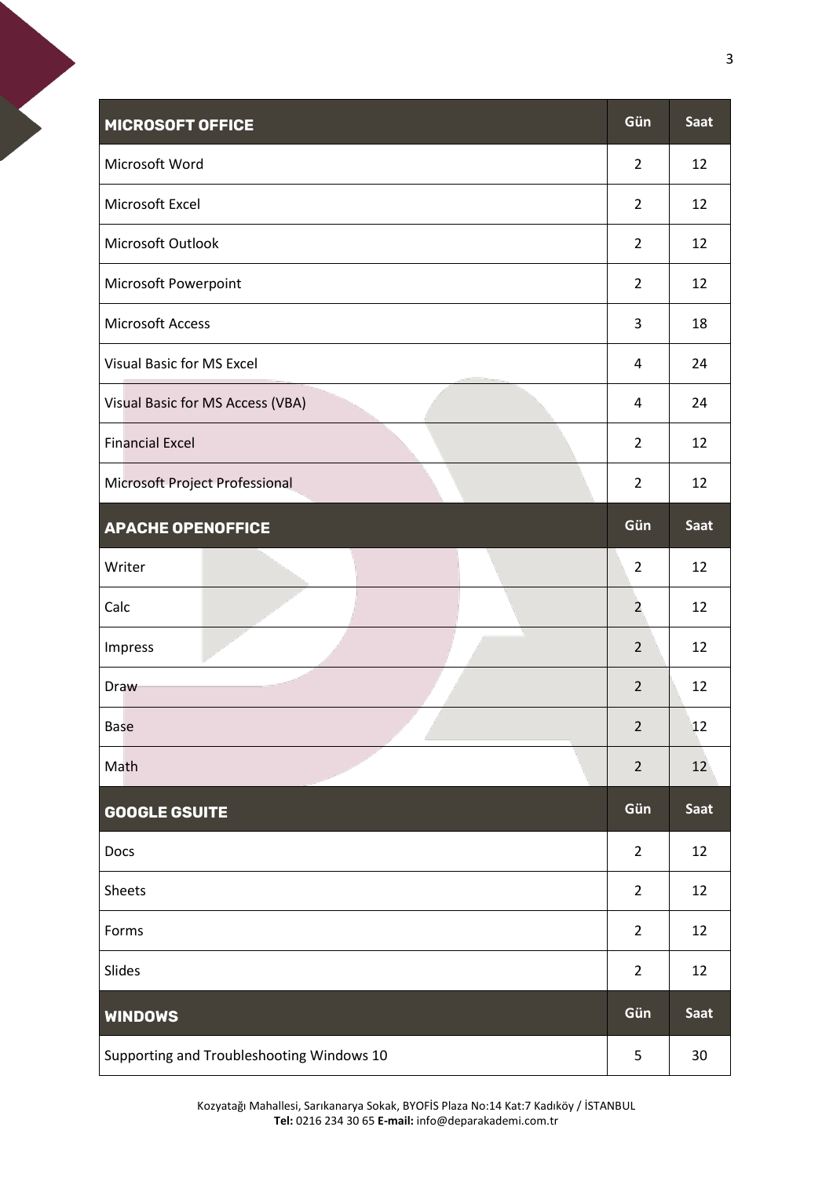<span id="page-2-1"></span><span id="page-2-0"></span>

| <b>MICROSOFT OFFICE</b>                   | Gün            | Saat        |
|-------------------------------------------|----------------|-------------|
| Microsoft Word                            | $\overline{2}$ | 12          |
| Microsoft Excel                           | $\overline{2}$ | 12          |
| Microsoft Outlook                         | $\overline{2}$ | 12          |
| Microsoft Powerpoint                      | $\overline{2}$ | 12          |
| <b>Microsoft Access</b>                   | 3              | 18          |
| <b>Visual Basic for MS Excel</b>          | 4              | 24          |
| Visual Basic for MS Access (VBA)          | $\overline{a}$ | 24          |
| <b>Financial Excel</b>                    | $\overline{2}$ | 12          |
| Microsoft Project Professional            | $\overline{2}$ | 12          |
| <b>APACHE OPENOFFICE</b>                  | Gün            | Saat        |
| Writer                                    | $\overline{2}$ | 12          |
| Calc                                      | $\overline{2}$ | 12          |
| Impress                                   | $\overline{2}$ | 12          |
| Draw                                      | $\overline{2}$ | 12          |
| <b>Base</b>                               | $\overline{2}$ | 12          |
| Math                                      | $\overline{2}$ | 12          |
| <b>GOOGLE GSUITE</b>                      | Gün            | <b>Saat</b> |
| Docs                                      | $\overline{2}$ | 12          |
| Sheets                                    | $\overline{2}$ | 12          |
| Forms                                     | $\overline{2}$ | 12          |
| Slides                                    | $\overline{2}$ | 12          |
| <b>WINDOWS</b>                            | Gün            | <b>Saat</b> |
| Supporting and Troubleshooting Windows 10 | 5              | 30          |

<span id="page-2-3"></span><span id="page-2-2"></span>Kozyatağı Mahallesi, Sarıkanarya Sokak, BYOFİS Plaza No:14 Kat:7 Kadıköy / İSTANBUL **Tel:** 0216 234 30 65 **E-mail:** info@deparakademi.com.tr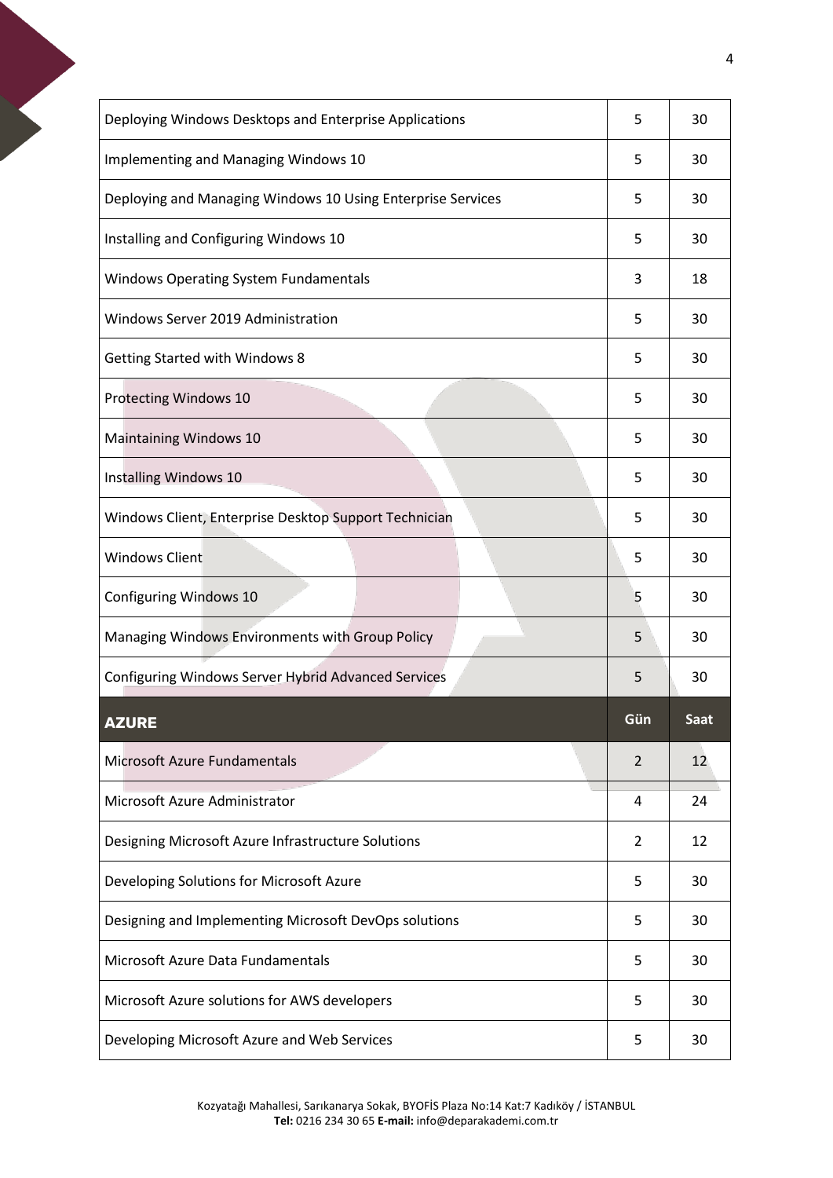<span id="page-3-0"></span>

| Deploying Windows Desktops and Enterprise Applications      | 5   | 30   |
|-------------------------------------------------------------|-----|------|
| Implementing and Managing Windows 10                        | 5   | 30   |
| Deploying and Managing Windows 10 Using Enterprise Services | 5   | 30   |
| Installing and Configuring Windows 10                       | 5   | 30   |
| <b>Windows Operating System Fundamentals</b>                | 3   | 18   |
| Windows Server 2019 Administration                          | 5   | 30   |
| <b>Getting Started with Windows 8</b>                       | 5   | 30   |
| Protecting Windows 10                                       | 5   | 30   |
| <b>Maintaining Windows 10</b>                               | 5   | 30   |
| Installing Windows 10                                       | 5   | 30   |
| Windows Client, Enterprise Desktop Support Technician       | 5   | 30   |
| <b>Windows Client</b>                                       | 5   | 30   |
| Configuring Windows 10                                      | 5   | 30   |
| Managing Windows Environments with Group Policy             | 5   | 30   |
| Configuring Windows Server Hybrid Advanced Services         | 5   | 30   |
| <b>AZURE</b>                                                | Gün | Saat |
|                                                             |     |      |
| Microsoft Azure Fundamentals                                | 2   | 12   |
| Microsoft Azure Administrator                               | 4   | 24   |
| Designing Microsoft Azure Infrastructure Solutions          | 2   | 12   |
| Developing Solutions for Microsoft Azure                    | 5   | 30   |
| Designing and Implementing Microsoft DevOps solutions       | 5   | 30   |
| Microsoft Azure Data Fundamentals                           | 5   | 30   |
| Microsoft Azure solutions for AWS developers                | 5   | 30   |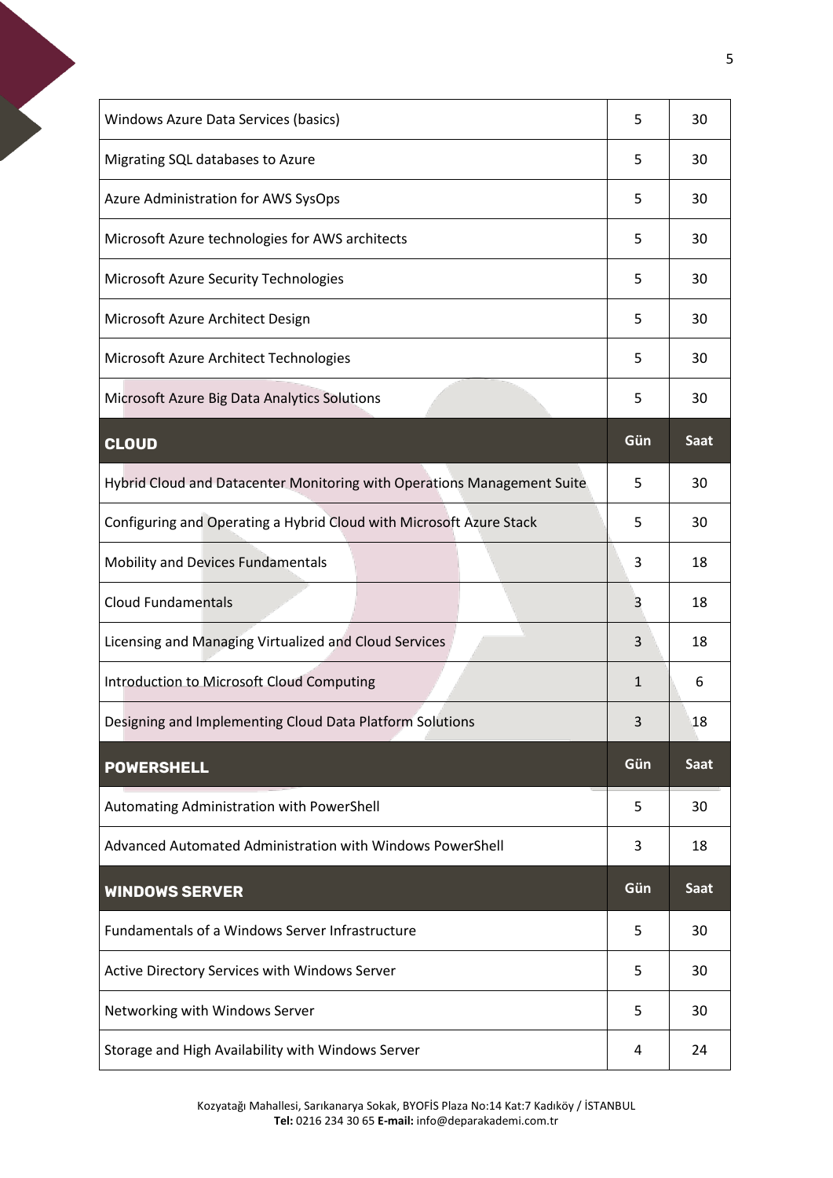<span id="page-4-2"></span><span id="page-4-1"></span><span id="page-4-0"></span>

| Windows Azure Data Services (basics)                                    | 5            | 30          |
|-------------------------------------------------------------------------|--------------|-------------|
| Migrating SQL databases to Azure                                        | 5            | 30          |
| Azure Administration for AWS SysOps                                     | 5            | 30          |
| Microsoft Azure technologies for AWS architects                         | 5            | 30          |
| Microsoft Azure Security Technologies                                   | 5            | 30          |
| Microsoft Azure Architect Design                                        | 5            | 30          |
| Microsoft Azure Architect Technologies                                  | 5            | 30          |
| Microsoft Azure Big Data Analytics Solutions                            | 5            | 30          |
| <b>CLOUD</b>                                                            | Gün          | Saat        |
| Hybrid Cloud and Datacenter Monitoring with Operations Management Suite | 5            | 30          |
| Configuring and Operating a Hybrid Cloud with Microsoft Azure Stack     | 5            | 30          |
| Mobility and Devices Fundamentals                                       | 3            | 18          |
| <b>Cloud Fundamentals</b>                                               | 3            | 18          |
|                                                                         |              |             |
| Licensing and Managing Virtualized and Cloud Services                   | 3            | 18          |
| Introduction to Microsoft Cloud Computing                               | $\mathbf{1}$ | 6           |
| Designing and Implementing Cloud Data Platform Solutions                | 3            | 18          |
| <b>POWERSHELL</b>                                                       | Gün          | Saat        |
| Automating Administration with PowerShell                               | 5            | 30          |
| Advanced Automated Administration with Windows PowerShell               | 3            | 18          |
| <b>WINDOWS SERVER</b>                                                   | Gün          | <b>Saat</b> |
| Fundamentals of a Windows Server Infrastructure                         | 5            | 30          |
| Active Directory Services with Windows Server                           | 5            | 30          |
| Networking with Windows Server                                          | 5            | 30          |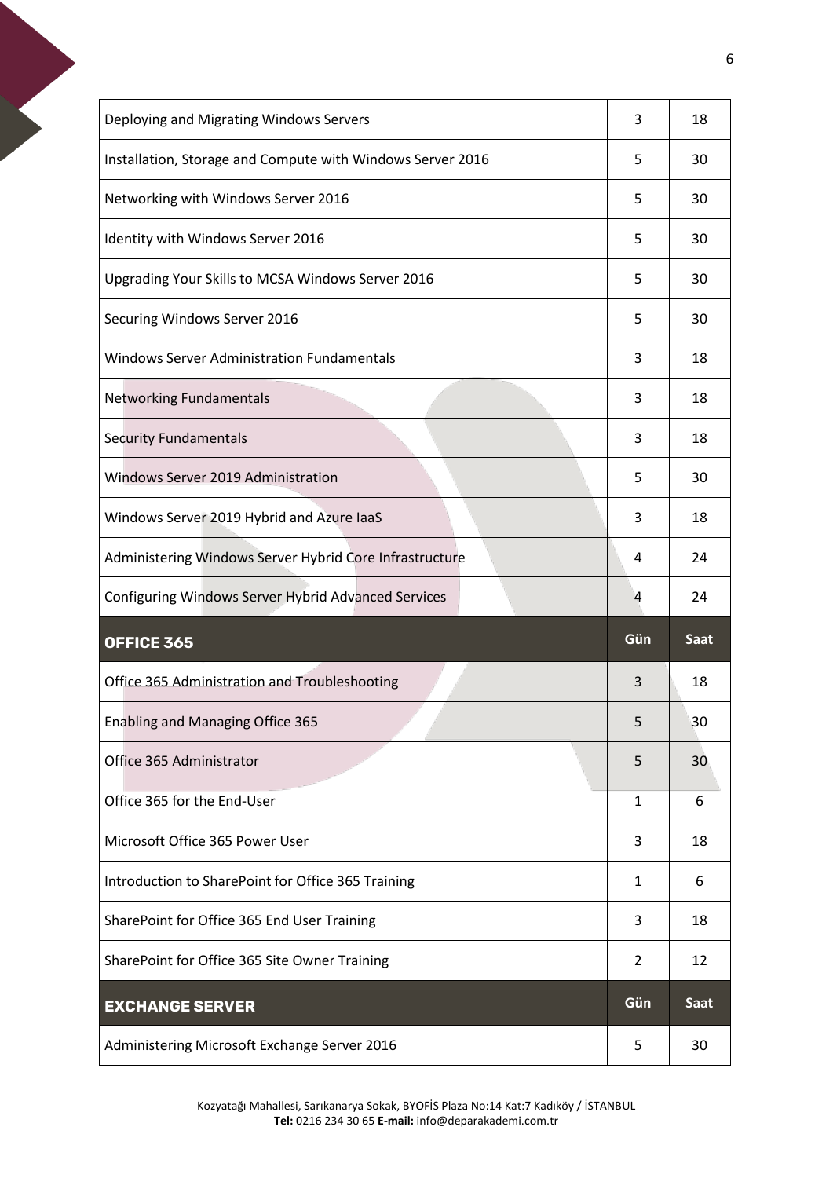<span id="page-5-1"></span><span id="page-5-0"></span>

| Deploying and Migrating Windows Servers                    | 3   | 18   |
|------------------------------------------------------------|-----|------|
| Installation, Storage and Compute with Windows Server 2016 | 5   | 30   |
| Networking with Windows Server 2016                        | 5   | 30   |
| Identity with Windows Server 2016                          | 5   | 30   |
| Upgrading Your Skills to MCSA Windows Server 2016          | 5   | 30   |
| Securing Windows Server 2016                               | 5   | 30   |
| <b>Windows Server Administration Fundamentals</b>          | 3   | 18   |
| <b>Networking Fundamentals</b>                             | 3   | 18   |
| <b>Security Fundamentals</b>                               | 3   | 18   |
| Windows Server 2019 Administration                         | 5   | 30   |
| Windows Server 2019 Hybrid and Azure laaS                  | 3   | 18   |
| Administering Windows Server Hybrid Core Infrastructure    | 4   | 24   |
|                                                            |     |      |
| Configuring Windows Server Hybrid Advanced Services        | 4   | 24   |
| OFFICE 365                                                 | Gün | Saat |
| Office 365 Administration and Troubleshooting              | 3   | 18   |
| Enabling and Managing Office 365                           | 5   | 30   |
| Office 365 Administrator                                   | 5   | 30   |
| Office 365 for the End-User                                | 1   | 6    |
| Microsoft Office 365 Power User                            | 3   | 18   |
| Introduction to SharePoint for Office 365 Training         | 1   | 6    |
| SharePoint for Office 365 End User Training                | 3   | 18   |
| SharePoint for Office 365 Site Owner Training              | 2   | 12   |
| <b>EXCHANGE SERVER</b>                                     | Gün | Saat |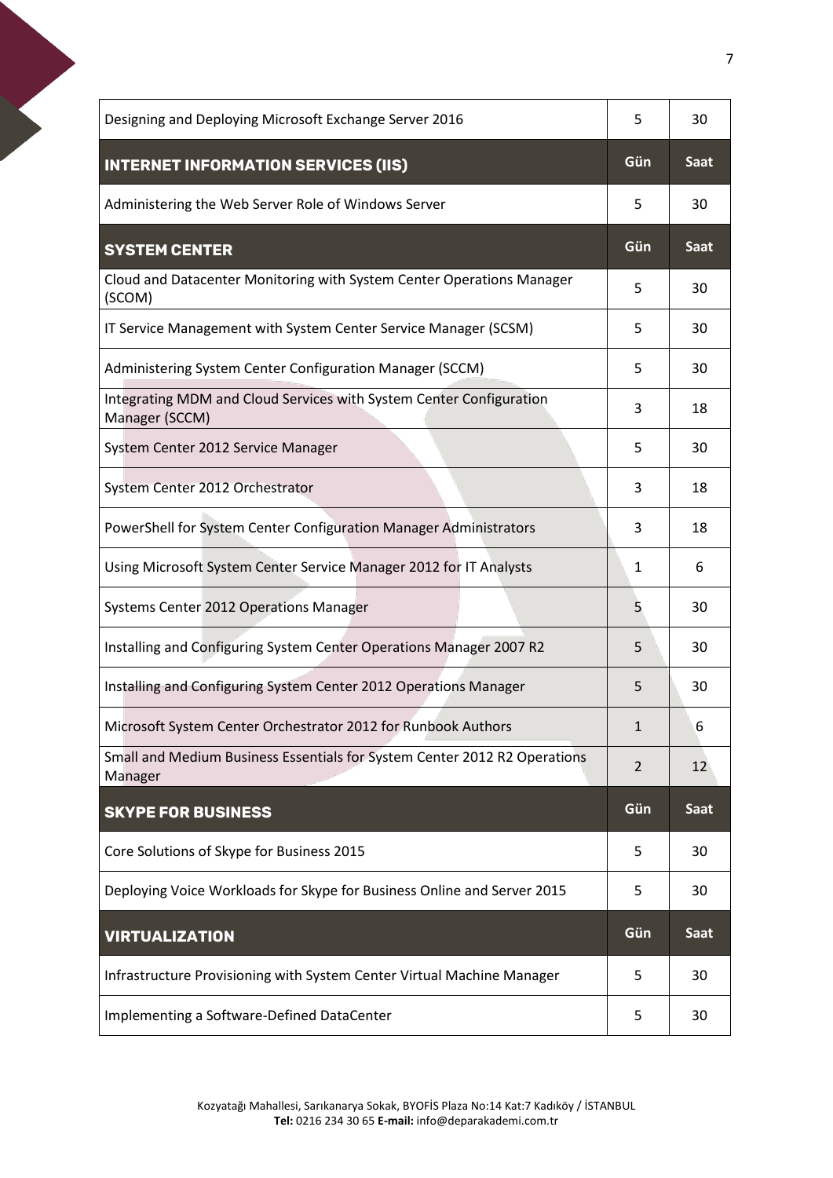<span id="page-6-3"></span><span id="page-6-2"></span><span id="page-6-1"></span><span id="page-6-0"></span>

| Designing and Deploying Microsoft Exchange Server 2016                                | 5              | 30          |
|---------------------------------------------------------------------------------------|----------------|-------------|
| <b>INTERNET INFORMATION SERVICES (IIS)</b>                                            | Gün            | <b>Saat</b> |
| Administering the Web Server Role of Windows Server                                   | 5              | 30          |
| <b>SYSTEM CENTER</b>                                                                  | Gün            | <b>Saat</b> |
| Cloud and Datacenter Monitoring with System Center Operations Manager<br>(SCOM)       | 5              | 30          |
| IT Service Management with System Center Service Manager (SCSM)                       | 5              | 30          |
| Administering System Center Configuration Manager (SCCM)                              | 5              | 30          |
| Integrating MDM and Cloud Services with System Center Configuration<br>Manager (SCCM) | 3              | 18          |
| System Center 2012 Service Manager                                                    | 5              | 30          |
| System Center 2012 Orchestrator                                                       | 3              | 18          |
| PowerShell for System Center Configuration Manager Administrators                     | 3              | 18          |
| Using Microsoft System Center Service Manager 2012 for IT Analysts                    | 1              | 6           |
| Systems Center 2012 Operations Manager                                                | 5              | 30          |
| Installing and Configuring System Center Operations Manager 2007 R2                   | 5              | 30          |
| Installing and Configuring System Center 2012 Operations Manager                      | 5              | 30          |
| Microsoft System Center Orchestrator 2012 for Runbook Authors                         | $\mathbf{1}$   | 6           |
| Small and Medium Business Essentials for System Center 2012 R2 Operations<br>Manager  | $\overline{2}$ | 12          |
| <b>SKYPE FOR BUSINESS</b>                                                             | Gün            | Saat        |
| Core Solutions of Skype for Business 2015                                             | 5              | 30          |
| Deploying Voice Workloads for Skype for Business Online and Server 2015               | 5              | 30          |
| <b>VIRTUALIZATION</b>                                                                 | Gün            | Saat        |
| Infrastructure Provisioning with System Center Virtual Machine Manager                | 5              | 30          |
| Implementing a Software-Defined DataCenter                                            | 5              | 30          |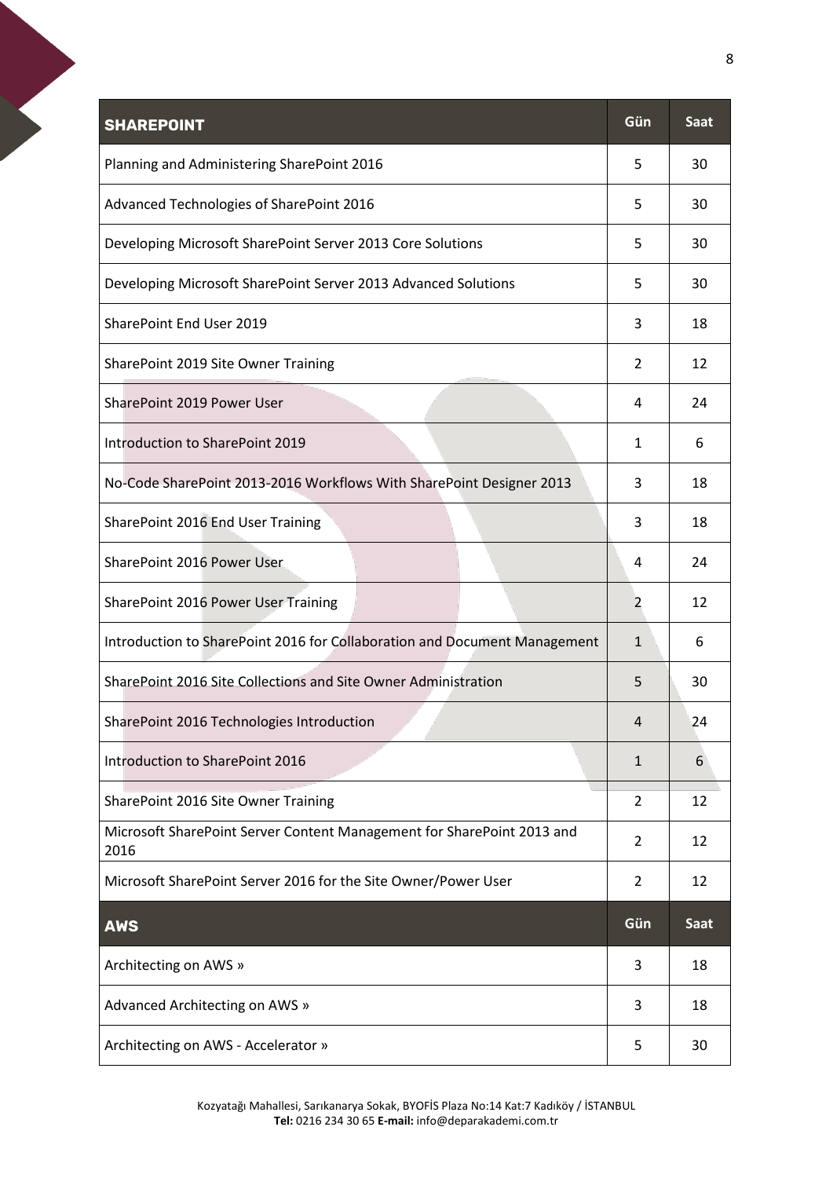<span id="page-7-1"></span><span id="page-7-0"></span>

| <b>SHAREPOINT</b>                                                              | Gün            | Saat        |
|--------------------------------------------------------------------------------|----------------|-------------|
| Planning and Administering SharePoint 2016                                     | 5              | 30          |
| Advanced Technologies of SharePoint 2016                                       | 5              | 30          |
| Developing Microsoft SharePoint Server 2013 Core Solutions                     | 5              | 30          |
| Developing Microsoft SharePoint Server 2013 Advanced Solutions                 | 5              | 30          |
| SharePoint End User 2019                                                       | 3              | 18          |
| SharePoint 2019 Site Owner Training                                            | 2              | 12          |
| SharePoint 2019 Power User                                                     | 4              | 24          |
| Introduction to SharePoint 2019                                                | 1              | 6           |
| No-Code SharePoint 2013-2016 Workflows With SharePoint Designer 2013           | 3              | 18          |
| SharePoint 2016 End User Training                                              | 3              | 18          |
| SharePoint 2016 Power User                                                     | 4              | 24          |
| SharePoint 2016 Power User Training                                            | 2              | 12          |
| Introduction to SharePoint 2016 for Collaboration and Document Management      | 1              | 6           |
| SharePoint 2016 Site Collections and Site Owner Administration                 | 5              | 30          |
| SharePoint 2016 Technologies Introduction                                      | $\Lambda$      | 24          |
| Introduction to SharePoint 2016                                                | $\mathbf{1}$   | 6           |
| SharePoint 2016 Site Owner Training                                            | 2              | 12          |
| Microsoft SharePoint Server Content Management for SharePoint 2013 and<br>2016 | $\overline{2}$ | 12          |
| Microsoft SharePoint Server 2016 for the Site Owner/Power User                 | 2              | 12          |
| <b>AWS</b>                                                                     | Gün            | <b>Saat</b> |
| Architecting on AWS »                                                          | 3              | 18          |
| Advanced Architecting on AWS »                                                 | 3              | 18          |
| Architecting on AWS - Accelerator »                                            | 5              | 30          |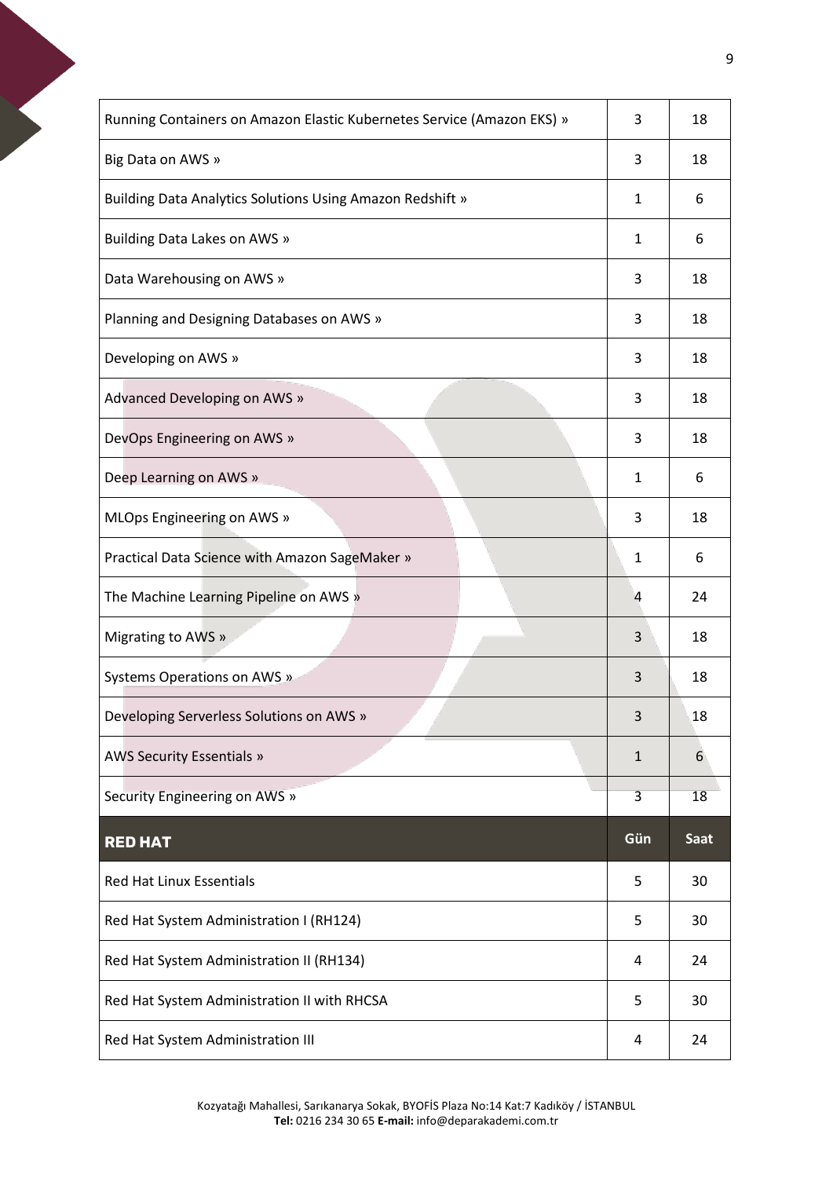<span id="page-8-0"></span>

| Running Containers on Amazon Elastic Kubernetes Service (Amazon EKS) » | 3            | 18   |
|------------------------------------------------------------------------|--------------|------|
| Big Data on AWS »                                                      | 3            | 18   |
| <b>Building Data Analytics Solutions Using Amazon Redshift »</b>       | 1            | 6    |
| Building Data Lakes on AWS »                                           | 1            | 6    |
| Data Warehousing on AWS »                                              | 3            | 18   |
| Planning and Designing Databases on AWS »                              | 3            | 18   |
| Developing on AWS »                                                    | 3            | 18   |
| Advanced Developing on AWS »                                           | 3            | 18   |
| DevOps Engineering on AWS »                                            | 3            | 18   |
| Deep Learning on AWS »                                                 | 1            | 6    |
| MLOps Engineering on AWS »                                             | 3            | 18   |
| Practical Data Science with Amazon SageMaker »                         | $\mathbf{1}$ | 6    |
| The Machine Learning Pipeline on AWS »                                 | 4            | 24   |
| Migrating to AWS »                                                     | 3            | 18   |
| Systems Operations on AWS »                                            | 3            | 18   |
| Developing Serverless Solutions on AWS »                               | 3            | 18   |
| AWS Security Essentials »                                              | $\mathbf{1}$ | 6    |
| Security Engineering on AWS »                                          | 3            | 18   |
| <b>RED HAT</b>                                                         | Gün          | Saat |
| <b>Red Hat Linux Essentials</b>                                        | 5            | 30   |
| Red Hat System Administration I (RH124)                                | 5            | 30   |
|                                                                        |              |      |
| Red Hat System Administration II (RH134)                               | 4            | 24   |
| Red Hat System Administration II with RHCSA                            | 5            | 30   |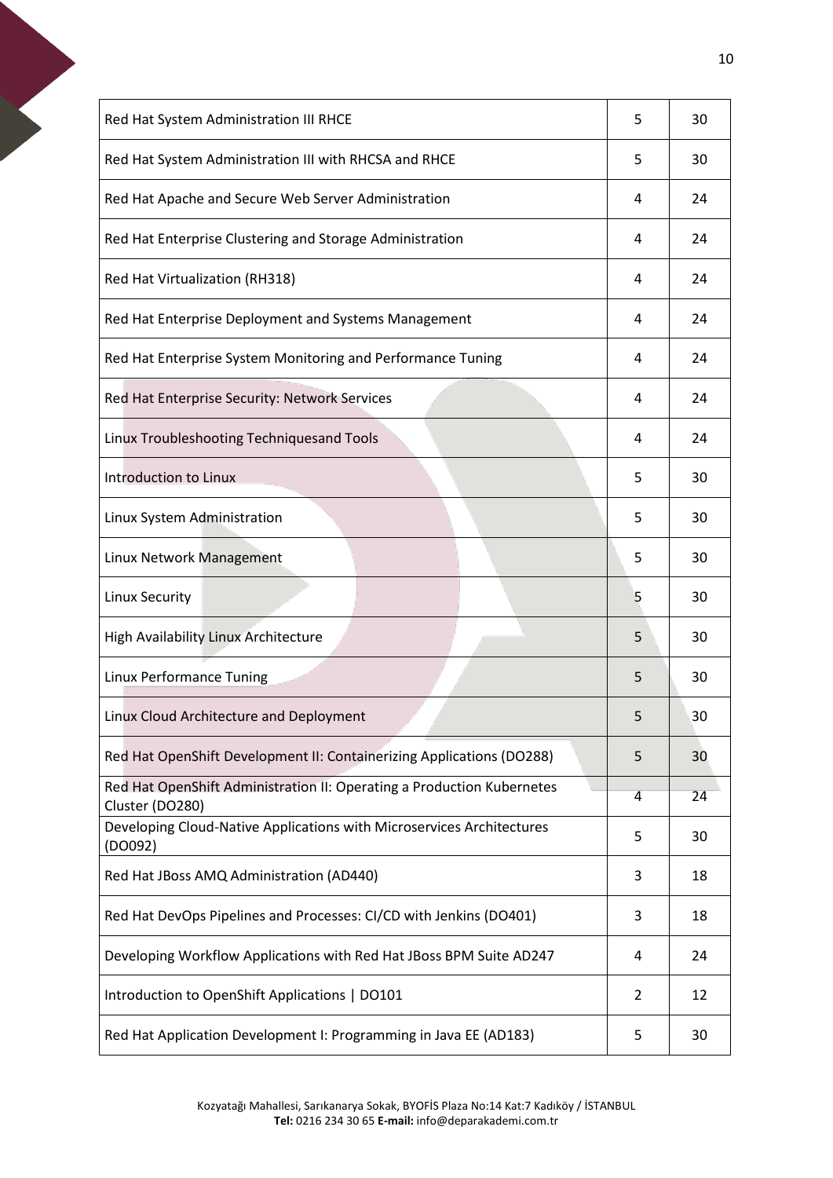| Red Hat System Administration III RHCE                                                    | 5              | 30 |
|-------------------------------------------------------------------------------------------|----------------|----|
| Red Hat System Administration III with RHCSA and RHCE                                     | 5              | 30 |
| Red Hat Apache and Secure Web Server Administration                                       | 4              | 24 |
| Red Hat Enterprise Clustering and Storage Administration                                  | 4              | 24 |
| Red Hat Virtualization (RH318)                                                            | 4              | 24 |
| Red Hat Enterprise Deployment and Systems Management                                      | 4              | 24 |
| Red Hat Enterprise System Monitoring and Performance Tuning                               | 4              | 24 |
| Red Hat Enterprise Security: Network Services                                             | 4              | 24 |
| Linux Troubleshooting Techniquesand Tools                                                 | 4              | 24 |
| Introduction to Linux                                                                     | 5              | 30 |
| Linux System Administration                                                               | 5              | 30 |
| Linux Network Management                                                                  | 5              | 30 |
|                                                                                           |                |    |
| <b>Linux Security</b>                                                                     | 5              | 30 |
| <b>High Availability Linux Architecture</b>                                               | 5              | 30 |
| Linux Performance Tuning                                                                  | 5              | 30 |
| Linux Cloud Architecture and Deployment                                                   | 5              | 30 |
| Red Hat OpenShift Development II: Containerizing Applications (DO288)                     | 5              | 30 |
| Red Hat OpenShift Administration II: Operating a Production Kubernetes<br>Cluster (DO280) | 4              | 24 |
| Developing Cloud-Native Applications with Microservices Architectures<br>(DO092)          | 5              | 30 |
| Red Hat JBoss AMQ Administration (AD440)                                                  | 3              | 18 |
| Red Hat DevOps Pipelines and Processes: CI/CD with Jenkins (DO401)                        | 3              | 18 |
| Developing Workflow Applications with Red Hat JBoss BPM Suite AD247                       | 4              | 24 |
| Introduction to OpenShift Applications   DO101                                            | $\overline{2}$ | 12 |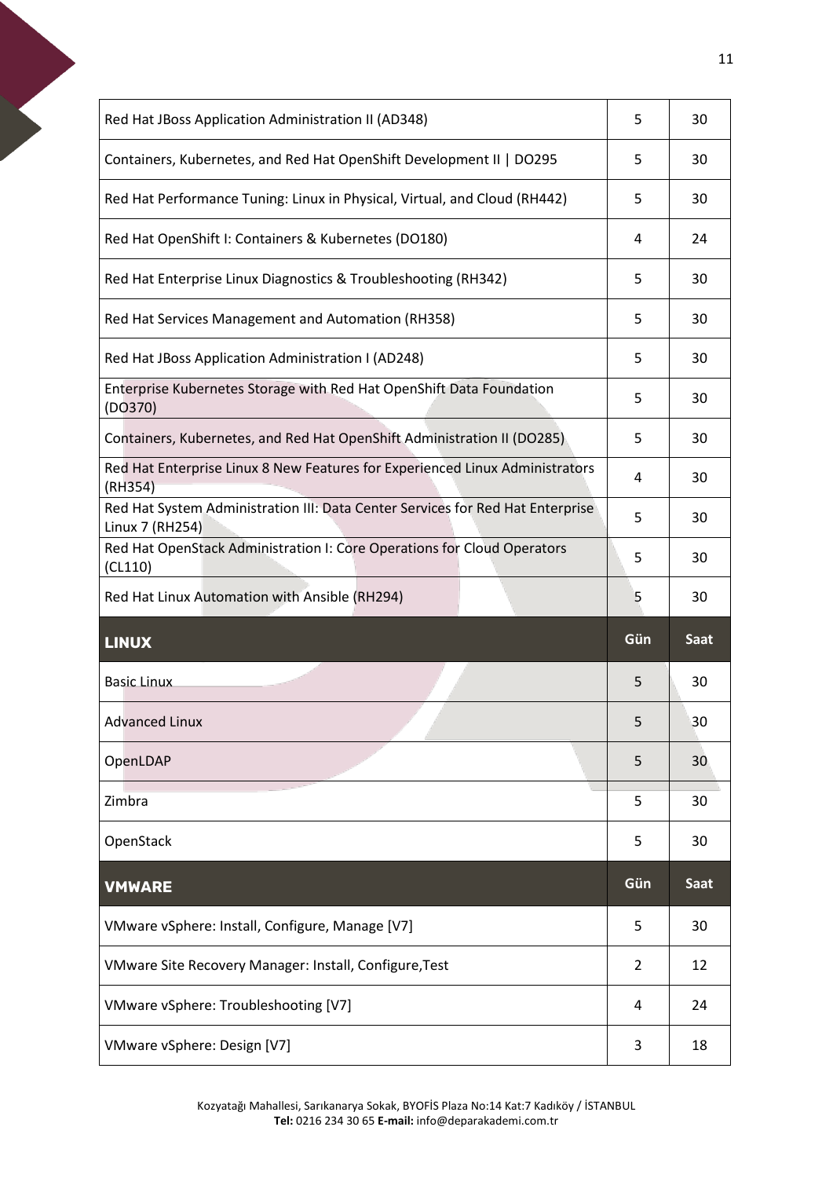<span id="page-10-1"></span><span id="page-10-0"></span>

| Red Hat JBoss Application Administration II (AD348)                                               | 5   | 30   |
|---------------------------------------------------------------------------------------------------|-----|------|
| Containers, Kubernetes, and Red Hat OpenShift Development II   DO295                              | 5   | 30   |
| Red Hat Performance Tuning: Linux in Physical, Virtual, and Cloud (RH442)                         | 5   | 30   |
| Red Hat OpenShift I: Containers & Kubernetes (DO180)                                              | 4   | 24   |
| Red Hat Enterprise Linux Diagnostics & Troubleshooting (RH342)                                    | 5   | 30   |
| Red Hat Services Management and Automation (RH358)                                                | 5   | 30   |
| Red Hat JBoss Application Administration I (AD248)                                                | 5   | 30   |
| Enterprise Kubernetes Storage with Red Hat OpenShift Data Foundation<br>(DO370)                   | 5   | 30   |
| Containers, Kubernetes, and Red Hat OpenShift Administration II (DO285)                           | 5   | 30   |
| Red Hat Enterprise Linux 8 New Features for Experienced Linux Administrators<br>(RH354)           | 4   | 30   |
| Red Hat System Administration III: Data Center Services for Red Hat Enterprise<br>Linux 7 (RH254) | 5   | 30   |
| Red Hat OpenStack Administration I: Core Operations for Cloud Operators<br>(CL110)                | 5   | 30   |
|                                                                                                   |     |      |
| Red Hat Linux Automation with Ansible (RH294)                                                     | 5   | 30   |
| <b>LINUX</b>                                                                                      | Gün | Saat |
| <b>Basic Linux</b>                                                                                | 5   | 30   |
| <b>Advanced Linux</b>                                                                             | 5   | 30   |
| OpenLDAP                                                                                          | 5   | 30   |
| Zimbra                                                                                            | 5   | 30   |
| OpenStack                                                                                         | 5   | 30   |
| <b>VMWARE</b>                                                                                     | Gün | Saat |
| VMware vSphere: Install, Configure, Manage [V7]                                                   | 5   | 30   |
| VMware Site Recovery Manager: Install, Configure, Test                                            | 2   | 12   |
| VMware vSphere: Troubleshooting [V7]                                                              | 4   | 24   |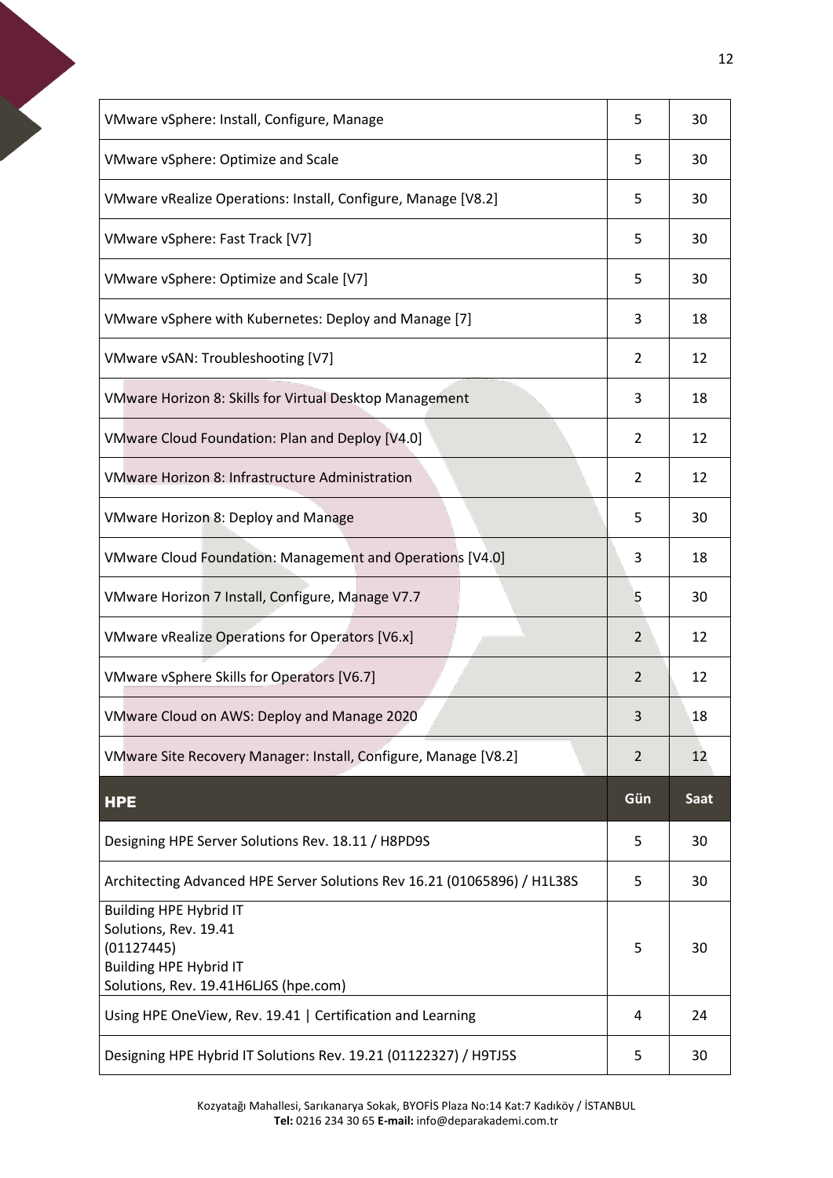<span id="page-11-0"></span>

| VMware vSphere: Install, Configure, Manage                               | 5   | 30          |
|--------------------------------------------------------------------------|-----|-------------|
| VMware vSphere: Optimize and Scale                                       | 5   | 30          |
| VMware vRealize Operations: Install, Configure, Manage [V8.2]            | 5   | 30          |
| VMware vSphere: Fast Track [V7]                                          | 5   | 30          |
| VMware vSphere: Optimize and Scale [V7]                                  | 5   | 30          |
| VMware vSphere with Kubernetes: Deploy and Manage [7]                    | 3   | 18          |
| VMware vSAN: Troubleshooting [V7]                                        | 2   | 12          |
| VMware Horizon 8: Skills for Virtual Desktop Management                  | 3   | 18          |
| VMware Cloud Foundation: Plan and Deploy [V4.0]                          | 2   | 12          |
| <b>VMware Horizon 8: Infrastructure Administration</b>                   | 2   | 12          |
| <b>VMware Horizon 8: Deploy and Manage</b>                               | 5   | 30          |
| VMware Cloud Foundation: Management and Operations [V4.0]                | 3   | 18          |
| VMware Horizon 7 Install, Configure, Manage V7.7                         | 5   | 30          |
| VMware vRealize Operations for Operators [V6.x]                          | 2   | 12          |
| VMware vSphere Skills for Operators [V6.7]                               | 2   | 12          |
| VMware Cloud on AWS: Deploy and Manage 2020                              | 3   | 18          |
| VMware Site Recovery Manager: Install, Configure, Manage [V8.2]          | 2   | 12          |
| <b>HPE</b>                                                               | Gün | <b>Saat</b> |
| Designing HPE Server Solutions Rev. 18.11 / H8PD9S                       | 5   | 30          |
| Architecting Advanced HPE Server Solutions Rev 16.21 (01065896) / H1L38S | 5   | 30          |
| <b>Building HPE Hybrid IT</b><br>Solutions, Rev. 19.41<br>(01127445)     |     | 30          |
| <b>Building HPE Hybrid IT</b><br>Solutions, Rev. 19.41H6LJ6S (hpe.com)   | 5   |             |
| Using HPE OneView, Rev. 19.41   Certification and Learning               | 4   | 24          |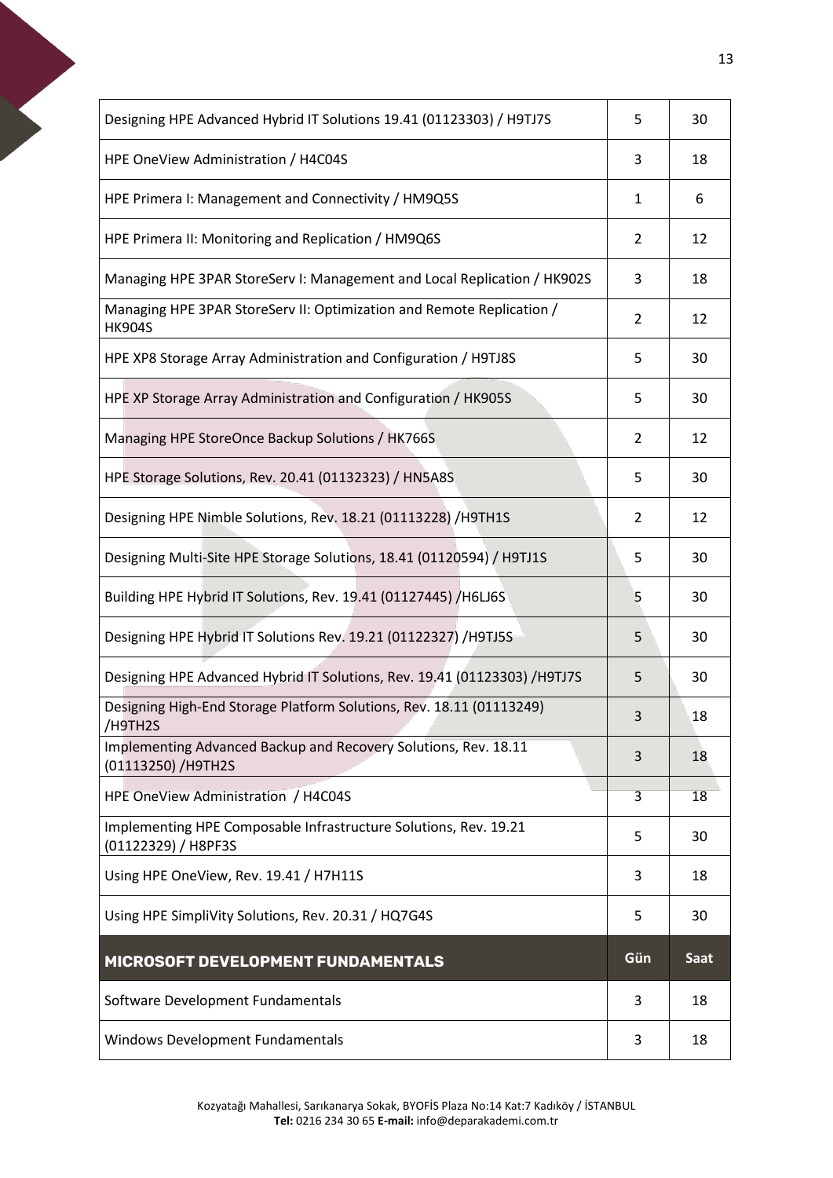<span id="page-12-0"></span>

| Designing HPE Advanced Hybrid IT Solutions 19.41 (01123303) / H9TJ7S                    | 5              | 30   |
|-----------------------------------------------------------------------------------------|----------------|------|
| HPE OneView Administration / H4C04S                                                     | 3              | 18   |
| HPE Primera I: Management and Connectivity / HM9Q5S                                     | 1              | 6    |
| HPE Primera II: Monitoring and Replication / HM9Q6S                                     | 2              | 12   |
| Managing HPE 3PAR StoreServ I: Management and Local Replication / HK902S                | 3              | 18   |
| Managing HPE 3PAR StoreServ II: Optimization and Remote Replication /<br><b>HK904S</b>  | $\overline{2}$ | 12   |
| HPE XP8 Storage Array Administration and Configuration / H9TJ8S                         | 5              | 30   |
| HPE XP Storage Array Administration and Configuration / HK905S                          | 5              | 30   |
| Managing HPE StoreOnce Backup Solutions / HK766S                                        | $\overline{2}$ | 12   |
| HPE Storage Solutions, Rev. 20.41 (01132323) / HN5A8S                                   | 5              | 30   |
| Designing HPE Nimble Solutions, Rev. 18.21 (01113228) / H9TH1S                          | 2              | 12   |
| Designing Multi-Site HPE Storage Solutions, 18.41 (01120594) / H9TJ1S                   | 5              | 30   |
| Building HPE Hybrid IT Solutions, Rev. 19.41 (01127445) / H6LJ6S                        | 5              | 30   |
| Designing HPE Hybrid IT Solutions Rev. 19.21 (01122327) / H9TJ5S                        | 5              | 30   |
| Designing HPE Advanced Hybrid IT Solutions, Rev. 19.41 (01123303) / H9TJ7S              | 5              | 30   |
| Designing High-End Storage Platform Solutions, Rev. 18.11 (01113249)<br>/H9TH2S         | 3              | 18   |
| Implementing Advanced Backup and Recovery Solutions, Rev. 18.11<br>(01113250) /H9TH2S   | 3              | 18   |
| HPE OneView Administration / H4C04S                                                     | 3              | 18   |
| Implementing HPE Composable Infrastructure Solutions, Rev. 19.21<br>(01122329) / H8PF3S | 5              | 30   |
| Using HPE OneView, Rev. 19.41 / H7H11S                                                  | 3              | 18   |
| Using HPE SimpliVity Solutions, Rev. 20.31 / HQ7G4S                                     | 5              | 30   |
| MICROSOFT DEVELOPMENT FUNDAMENTALS                                                      | Gün            | Saat |
| Software Development Fundamentals                                                       | 3              | 18   |
| <b>Windows Development Fundamentals</b>                                                 | 3              | 18   |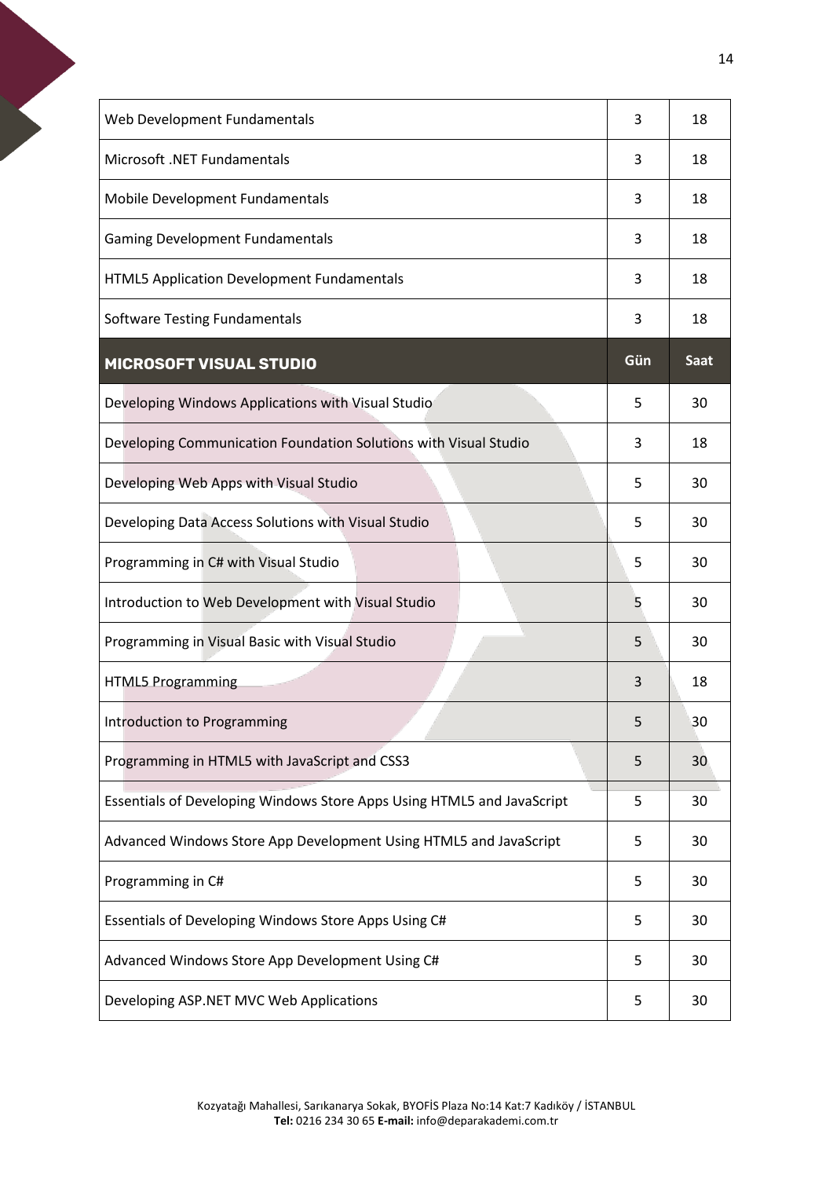<span id="page-13-0"></span>

| Web Development Fundamentals                                           | 3   | 18          |
|------------------------------------------------------------------------|-----|-------------|
| Microsoft .NET Fundamentals                                            | 3   | 18          |
| Mobile Development Fundamentals                                        | 3   | 18          |
| <b>Gaming Development Fundamentals</b>                                 | 3   | 18          |
| <b>HTML5 Application Development Fundamentals</b>                      | 3   | 18          |
| <b>Software Testing Fundamentals</b>                                   | 3   | 18          |
| <b>MICROSOFT VISUAL STUDIO</b>                                         | Gün | <b>Saat</b> |
| Developing Windows Applications with Visual Studio                     | 5   | 30          |
| Developing Communication Foundation Solutions with Visual Studio       | 3   | 18          |
| Developing Web Apps with Visual Studio                                 | 5   | 30          |
| Developing Data Access Solutions with Visual Studio                    | 5   | 30          |
| Programming in C# with Visual Studio                                   | 5   | 30          |
| Introduction to Web Development with Visual Studio                     | 5   | 30          |
| Programming in Visual Basic with Visual Studio                         | 5   | 30          |
| <b>HTML5 Programming</b>                                               | 3   | 18          |
| Introduction to Programming                                            | 5   | 30          |
| Programming in HTML5 with JavaScript and CSS3                          | 5   | 30          |
| Essentials of Developing Windows Store Apps Using HTML5 and JavaScript | 5   | 30          |
| Advanced Windows Store App Development Using HTML5 and JavaScript      | 5   | 30          |
| Programming in C#                                                      | 5   | 30          |
| Essentials of Developing Windows Store Apps Using C#                   | 5   | 30          |
| Advanced Windows Store App Development Using C#                        | 5   | 30          |
| Developing ASP.NET MVC Web Applications                                | 5   | 30          |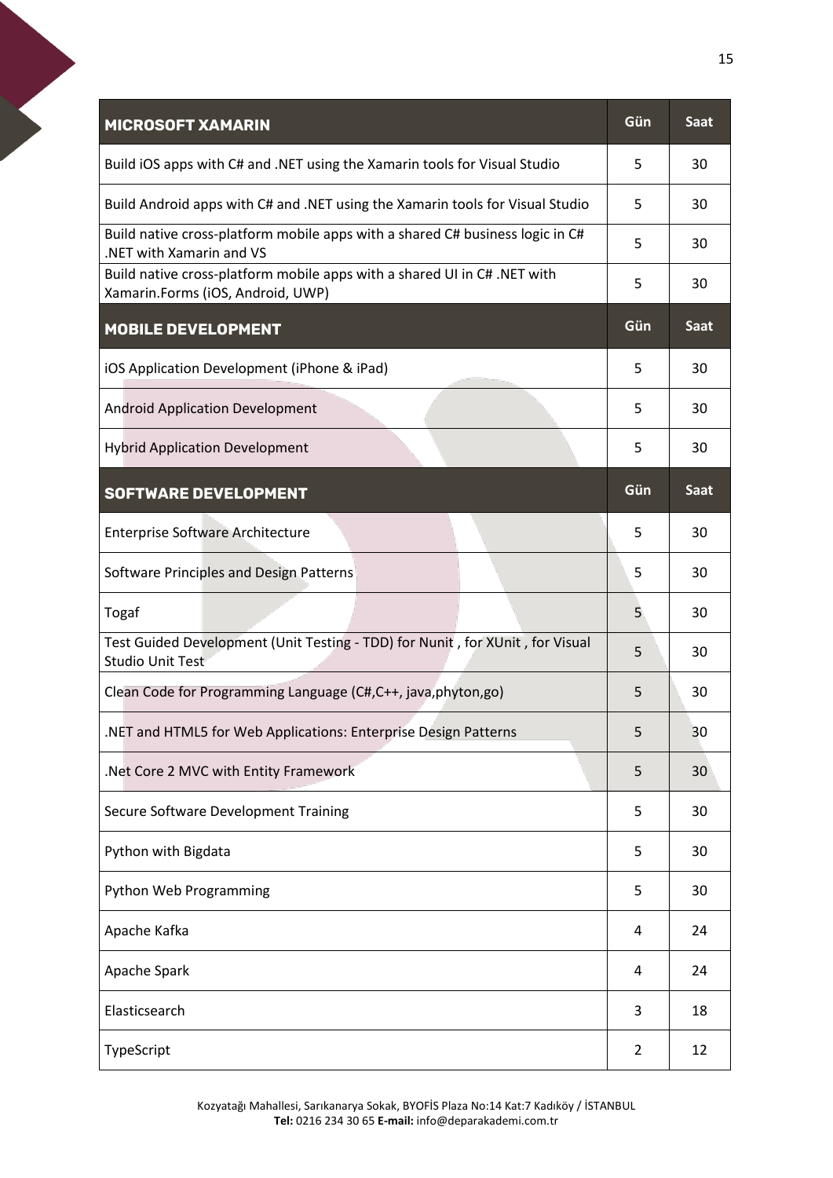<span id="page-14-2"></span><span id="page-14-1"></span><span id="page-14-0"></span>

| Build iOS apps with C# and .NET using the Xamarin tools for Visual Studio<br>5<br>Build Android apps with C# and .NET using the Xamarin tools for Visual Studio<br>5<br>Build native cross-platform mobile apps with a shared C# business logic in C#<br>5<br>.NET with Xamarin and VS<br>Build native cross-platform mobile apps with a shared UI in C#. NET with<br>5<br>Xamarin.Forms (iOS, Android, UWP)<br>Gün<br><b>MOBILE DEVELOPMENT</b><br>iOS Application Development (iPhone & iPad)<br>5<br><b>Android Application Development</b><br>5<br><b>Hybrid Application Development</b><br>5<br>Gün<br><b>SOFTWARE DEVELOPMENT</b><br><b>Enterprise Software Architecture</b><br>5<br>Software Principles and Design Patterns<br>5<br>Togaf<br>5<br>Test Guided Development (Unit Testing - TDD) for Nunit, for XUnit, for Visual<br>5<br><b>Studio Unit Test</b><br>Clean Code for Programming Language (C#,C++, java,phyton,go)<br>5 | 30<br>30<br>30<br>30<br><b>Saat</b><br>30<br>30<br>30 |
|---------------------------------------------------------------------------------------------------------------------------------------------------------------------------------------------------------------------------------------------------------------------------------------------------------------------------------------------------------------------------------------------------------------------------------------------------------------------------------------------------------------------------------------------------------------------------------------------------------------------------------------------------------------------------------------------------------------------------------------------------------------------------------------------------------------------------------------------------------------------------------------------------------------------------------------------|-------------------------------------------------------|
|                                                                                                                                                                                                                                                                                                                                                                                                                                                                                                                                                                                                                                                                                                                                                                                                                                                                                                                                             |                                                       |
|                                                                                                                                                                                                                                                                                                                                                                                                                                                                                                                                                                                                                                                                                                                                                                                                                                                                                                                                             |                                                       |
|                                                                                                                                                                                                                                                                                                                                                                                                                                                                                                                                                                                                                                                                                                                                                                                                                                                                                                                                             |                                                       |
|                                                                                                                                                                                                                                                                                                                                                                                                                                                                                                                                                                                                                                                                                                                                                                                                                                                                                                                                             |                                                       |
|                                                                                                                                                                                                                                                                                                                                                                                                                                                                                                                                                                                                                                                                                                                                                                                                                                                                                                                                             |                                                       |
|                                                                                                                                                                                                                                                                                                                                                                                                                                                                                                                                                                                                                                                                                                                                                                                                                                                                                                                                             |                                                       |
|                                                                                                                                                                                                                                                                                                                                                                                                                                                                                                                                                                                                                                                                                                                                                                                                                                                                                                                                             |                                                       |
|                                                                                                                                                                                                                                                                                                                                                                                                                                                                                                                                                                                                                                                                                                                                                                                                                                                                                                                                             |                                                       |
|                                                                                                                                                                                                                                                                                                                                                                                                                                                                                                                                                                                                                                                                                                                                                                                                                                                                                                                                             | <b>Saat</b>                                           |
|                                                                                                                                                                                                                                                                                                                                                                                                                                                                                                                                                                                                                                                                                                                                                                                                                                                                                                                                             | 30                                                    |
|                                                                                                                                                                                                                                                                                                                                                                                                                                                                                                                                                                                                                                                                                                                                                                                                                                                                                                                                             | 30                                                    |
|                                                                                                                                                                                                                                                                                                                                                                                                                                                                                                                                                                                                                                                                                                                                                                                                                                                                                                                                             | 30                                                    |
|                                                                                                                                                                                                                                                                                                                                                                                                                                                                                                                                                                                                                                                                                                                                                                                                                                                                                                                                             | 30                                                    |
|                                                                                                                                                                                                                                                                                                                                                                                                                                                                                                                                                                                                                                                                                                                                                                                                                                                                                                                                             | 30                                                    |
| .NET and HTML5 for Web Applications: Enterprise Design Patterns<br>5                                                                                                                                                                                                                                                                                                                                                                                                                                                                                                                                                                                                                                                                                                                                                                                                                                                                        | 30                                                    |
| .Net Core 2 MVC with Entity Framework<br>5                                                                                                                                                                                                                                                                                                                                                                                                                                                                                                                                                                                                                                                                                                                                                                                                                                                                                                  | 30 <sup>°</sup>                                       |
| Secure Software Development Training<br>5                                                                                                                                                                                                                                                                                                                                                                                                                                                                                                                                                                                                                                                                                                                                                                                                                                                                                                   | 30                                                    |
| Python with Bigdata<br>5                                                                                                                                                                                                                                                                                                                                                                                                                                                                                                                                                                                                                                                                                                                                                                                                                                                                                                                    | 30                                                    |
| Python Web Programming<br>5                                                                                                                                                                                                                                                                                                                                                                                                                                                                                                                                                                                                                                                                                                                                                                                                                                                                                                                 | 30                                                    |
| Apache Kafka<br>4                                                                                                                                                                                                                                                                                                                                                                                                                                                                                                                                                                                                                                                                                                                                                                                                                                                                                                                           | 24                                                    |
| Apache Spark<br>4                                                                                                                                                                                                                                                                                                                                                                                                                                                                                                                                                                                                                                                                                                                                                                                                                                                                                                                           | 24                                                    |
| Elasticsearch<br>3                                                                                                                                                                                                                                                                                                                                                                                                                                                                                                                                                                                                                                                                                                                                                                                                                                                                                                                          | 18                                                    |
| TypeScript<br>2                                                                                                                                                                                                                                                                                                                                                                                                                                                                                                                                                                                                                                                                                                                                                                                                                                                                                                                             |                                                       |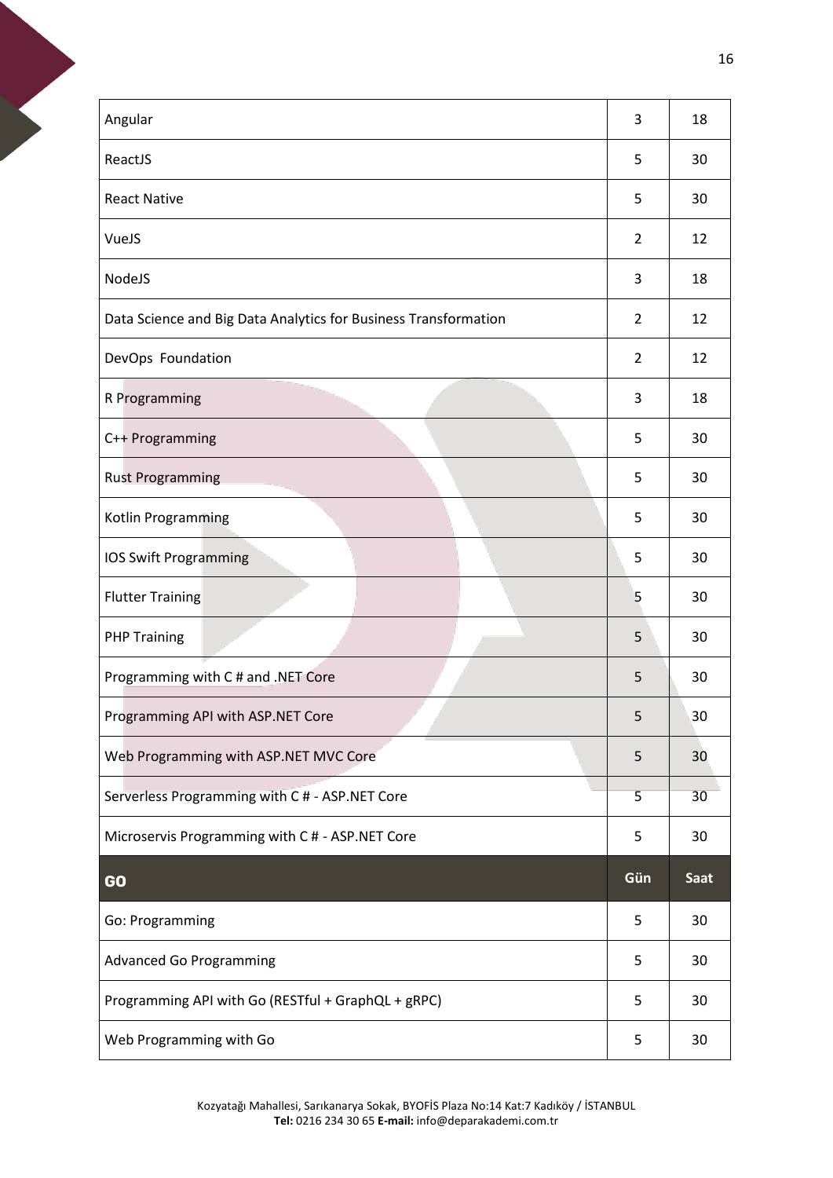| Angular                                                         | 3              | 18          |
|-----------------------------------------------------------------|----------------|-------------|
| ReactJS                                                         | 5              | 30          |
| <b>React Native</b>                                             | 5              | 30          |
| VueJS                                                           | $\overline{2}$ | 12          |
| NodeJS                                                          | 3              | 18          |
| Data Science and Big Data Analytics for Business Transformation | 2              | 12          |
| DevOps Foundation                                               | $\overline{2}$ | 12          |
| R Programming                                                   | 3              | 18          |
| C++ Programming                                                 | 5              | 30          |
| <b>Rust Programming</b>                                         | 5              | 30          |
| Kotlin Programming                                              | 5              | 30          |
| <b>IOS Swift Programming</b>                                    | 5              | 30          |
| <b>Flutter Training</b>                                         | 5              | 30          |
| <b>PHP Training</b>                                             | 5              | 30          |
| Programming with C # and .NET Core                              | 5              | 30          |
| Programming API with ASP.NET Core                               | 5              | 30          |
| Web Programming with ASP.NET MVC Core                           | 5              | 30          |
| Serverless Programming with C # - ASP.NET Core                  | 5              | 30          |
| Microservis Programming with C # - ASP.NET Core                 | 5              | 30          |
| <b>GO</b>                                                       | Gün            | <b>Saat</b> |
| Go: Programming                                                 | 5              | 30          |
| <b>Advanced Go Programming</b>                                  | 5              | 30          |
| Programming API with Go (RESTful + GraphQL + gRPC)              | 5              | 30          |
| Web Programming with Go                                         | 5              | 30          |

<span id="page-15-0"></span>Kozyatağı Mahallesi, Sarıkanarya Sokak, BYOFİS Plaza No:14 Kat:7 Kadıköy / İSTANBUL **Tel:** 0216 234 30 65 **E-mail:** info@deparakademi.com.tr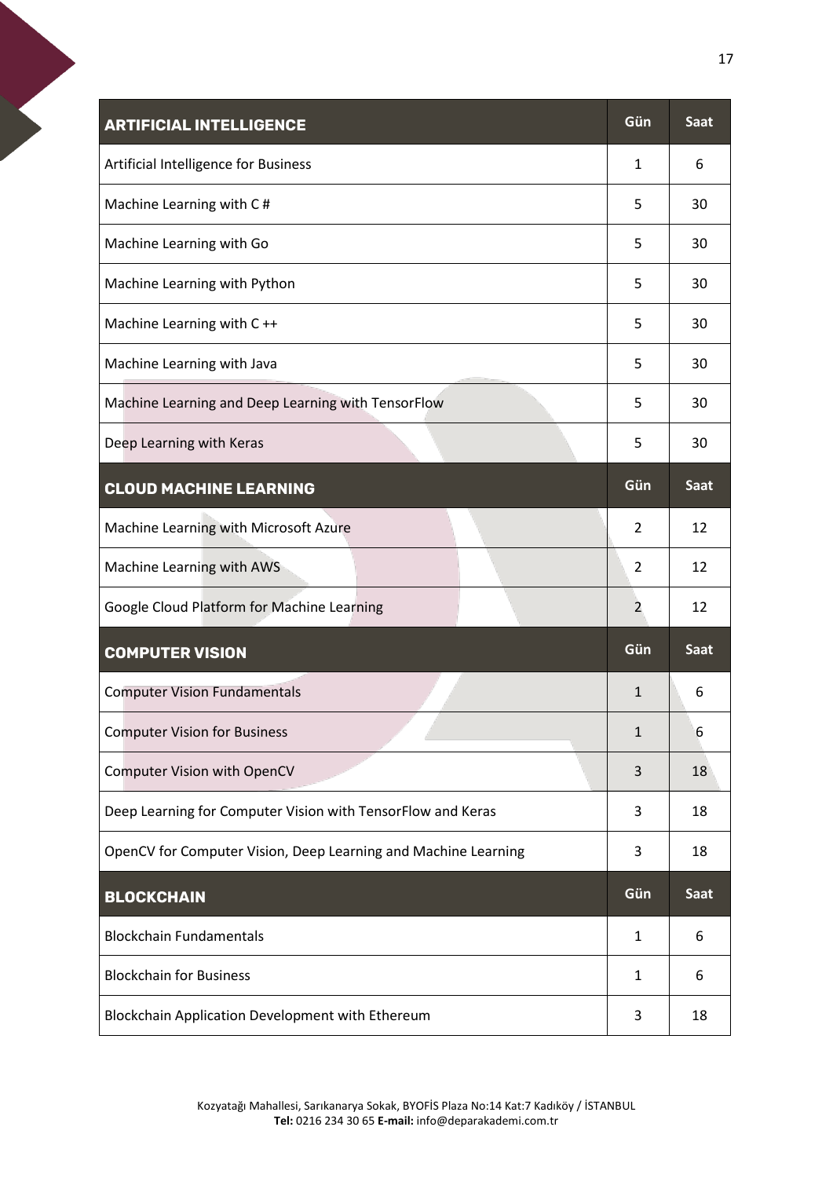<span id="page-16-3"></span><span id="page-16-2"></span><span id="page-16-1"></span><span id="page-16-0"></span>

| <b>ARTIFICIAL INTELLIGENCE</b>                                 | Gün            | <b>Saat</b> |
|----------------------------------------------------------------|----------------|-------------|
| Artificial Intelligence for Business                           | 1              | 6           |
| Machine Learning with C#                                       | 5              | 30          |
| Machine Learning with Go                                       | 5              | 30          |
| Machine Learning with Python                                   | 5              | 30          |
| Machine Learning with C++                                      | 5              | 30          |
| Machine Learning with Java                                     | 5              | 30          |
| Machine Learning and Deep Learning with TensorFlow             | 5              | 30          |
| Deep Learning with Keras                                       | 5              | 30          |
| <b>CLOUD MACHINE LEARNING</b>                                  | Gün            | <b>Saat</b> |
| Machine Learning with Microsoft Azure                          | $\overline{2}$ | 12          |
| Machine Learning with AWS                                      | 2              | 12          |
| Google Cloud Platform for Machine Learning                     | 2              | 12          |
| <b>COMPUTER VISION</b>                                         | Gün            | <b>Saat</b> |
| <b>Computer Vision Fundamentals</b>                            | $\mathbf 1$    | 6           |
| <b>Computer Vision for Business</b>                            | $\mathbf{1}$   | 6           |
| <b>Computer Vision with OpenCV</b>                             | 3              | 18          |
| Deep Learning for Computer Vision with TensorFlow and Keras    | 3              | 18          |
| OpenCV for Computer Vision, Deep Learning and Machine Learning | 3              | 18          |
| <b>BLOCKCHAIN</b>                                              | Gün            | <b>Saat</b> |
| <b>Blockchain Fundamentals</b>                                 | $\mathbf{1}$   | 6           |
| <b>Blockchain for Business</b>                                 | 1              | 6           |
| Blockchain Application Development with Ethereum               | 3              | 18          |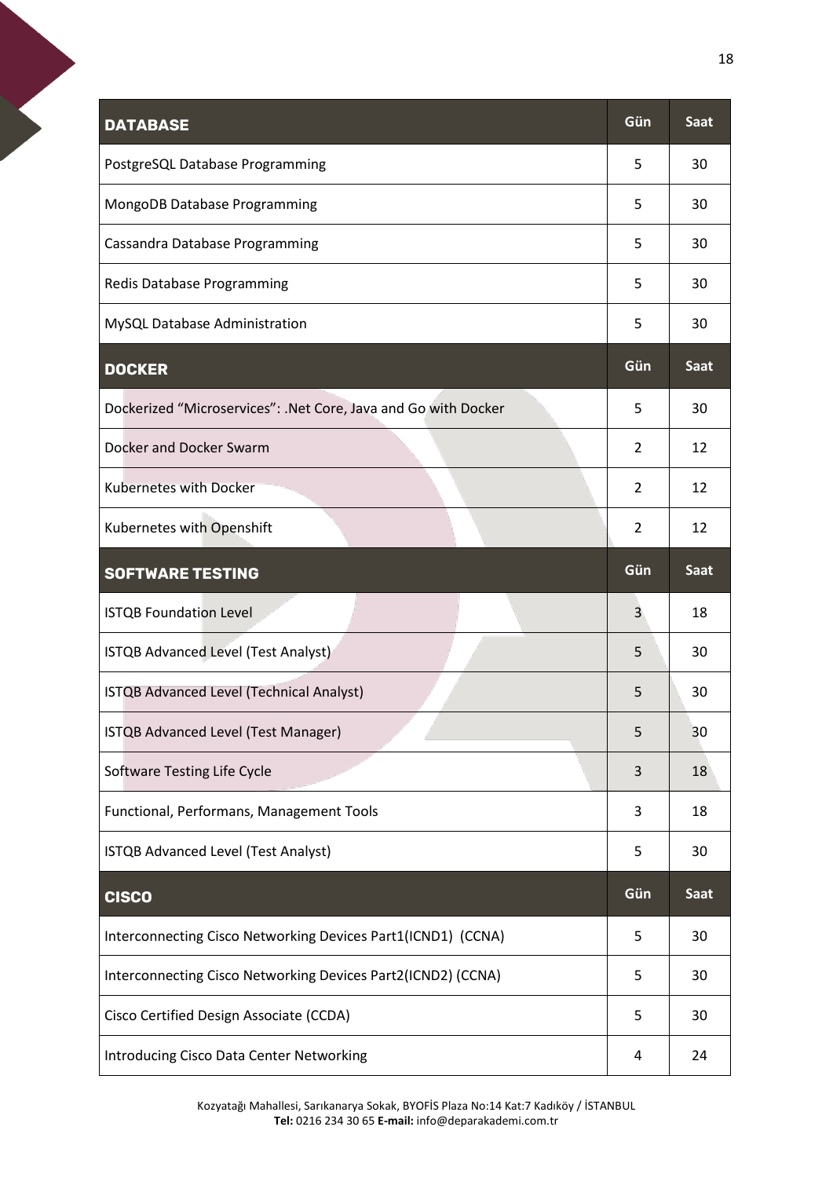<span id="page-17-3"></span><span id="page-17-2"></span><span id="page-17-1"></span><span id="page-17-0"></span>

| <b>DATABASE</b>                                                | Gün            | <b>Saat</b> |
|----------------------------------------------------------------|----------------|-------------|
| PostgreSQL Database Programming                                | 5              | 30          |
| MongoDB Database Programming                                   | 5              | 30          |
| Cassandra Database Programming                                 | 5              | 30          |
| Redis Database Programming                                     | 5              | 30          |
| MySQL Database Administration                                  | 5              | 30          |
| <b>DOCKER</b>                                                  | Gün            | <b>Saat</b> |
| Dockerized "Microservices": .Net Core, Java and Go with Docker | 5              | 30          |
| Docker and Docker Swarm                                        | 2              | 12          |
| <b>Kubernetes with Docker</b>                                  | $\overline{2}$ | 12          |
| Kubernetes with Openshift                                      | $\overline{2}$ | 12          |
| <b>SOFTWARE TESTING</b>                                        | Gün            | Saat        |
| <b>ISTQB Foundation Level</b>                                  | 3              | 18          |
| ISTQB Advanced Level (Test Analyst)                            | 5              | 30          |
| ISTQB Advanced Level (Technical Analyst)                       | 5              | 30          |
| ISTQB Advanced Level (Test Manager)                            | 5              | 30          |
| Software Testing Life Cycle                                    | 3              | 18          |
| Functional, Performans, Management Tools                       | 3              | 18          |
| ISTQB Advanced Level (Test Analyst)                            | 5              | 30          |
| <b>CISCO</b>                                                   | Gün            | Saat        |
| Interconnecting Cisco Networking Devices Part1(ICND1) (CCNA)   | 5              | 30          |
| Interconnecting Cisco Networking Devices Part2(ICND2) (CCNA)   | 5              | 30          |
| Cisco Certified Design Associate (CCDA)                        | 5              | 30          |
| Introducing Cisco Data Center Networking                       | 4              | 24          |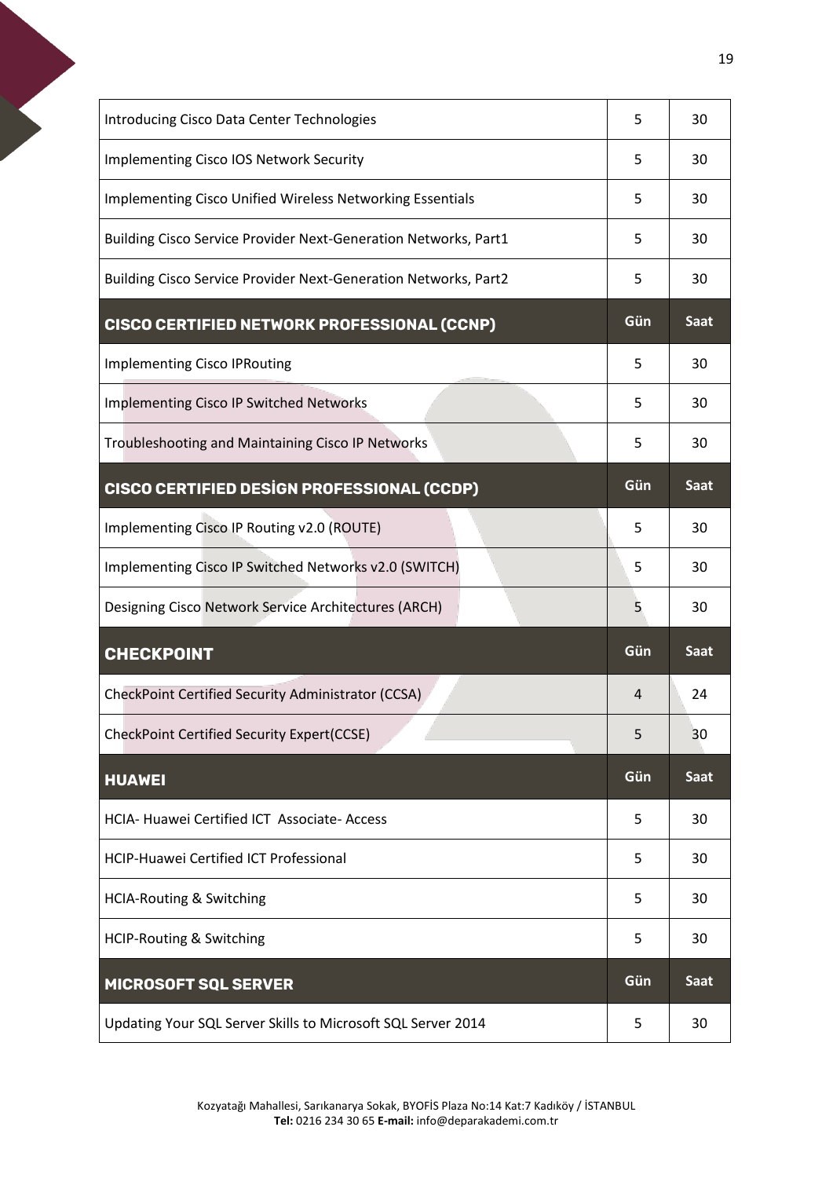<span id="page-18-4"></span><span id="page-18-3"></span><span id="page-18-2"></span><span id="page-18-1"></span><span id="page-18-0"></span>

| <b>Introducing Cisco Data Center Technologies</b>                      | 5   | 30          |
|------------------------------------------------------------------------|-----|-------------|
| <b>Implementing Cisco IOS Network Security</b>                         | 5   | 30          |
| <b>Implementing Cisco Unified Wireless Networking Essentials</b>       | 5   | 30          |
| Building Cisco Service Provider Next-Generation Networks, Part1        | 5   | 30          |
| <b>Building Cisco Service Provider Next-Generation Networks, Part2</b> | 5   | 30          |
| <b>CISCO CERTIFIED NETWORK PROFESSIONAL (CCNP)</b>                     | Gün | Saat        |
| <b>Implementing Cisco IPRouting</b>                                    | 5   | 30          |
| Implementing Cisco IP Switched Networks                                | 5   | 30          |
| Troubleshooting and Maintaining Cisco IP Networks                      | 5   | 30          |
| <b>CISCO CERTIFIED DESIGN PROFESSIONAL (CCDP)</b>                      | Gün | <b>Saat</b> |
| Implementing Cisco IP Routing v2.0 (ROUTE)                             | 5   | 30          |
| Implementing Cisco IP Switched Networks v2.0 (SWITCH)                  | 5   | 30          |
| Designing Cisco Network Service Architectures (ARCH)                   | 5   | 30          |
| <b>CHECKPOINT</b>                                                      | Gün | <b>Saat</b> |
| CheckPoint Certified Security Administrator (CCSA)                     | 4   | 24          |
| CheckPoint Certified Security Expert(CCSE)                             | 5   | 30          |
| <b>HUAWEI</b>                                                          | Gün | <b>Saat</b> |
| HCIA- Huawei Certified ICT Associate- Access                           | 5   | 30          |
| <b>HCIP-Huawei Certified ICT Professional</b>                          | 5   | 30          |
| <b>HCIA-Routing &amp; Switching</b>                                    | 5   | 30          |
| <b>HCIP-Routing &amp; Switching</b>                                    | 5   | 30          |
| <b>MICROSOFT SQL SERVER</b>                                            | Gün | <b>Saat</b> |
| Updating Your SQL Server Skills to Microsoft SQL Server 2014           | 5   | 30          |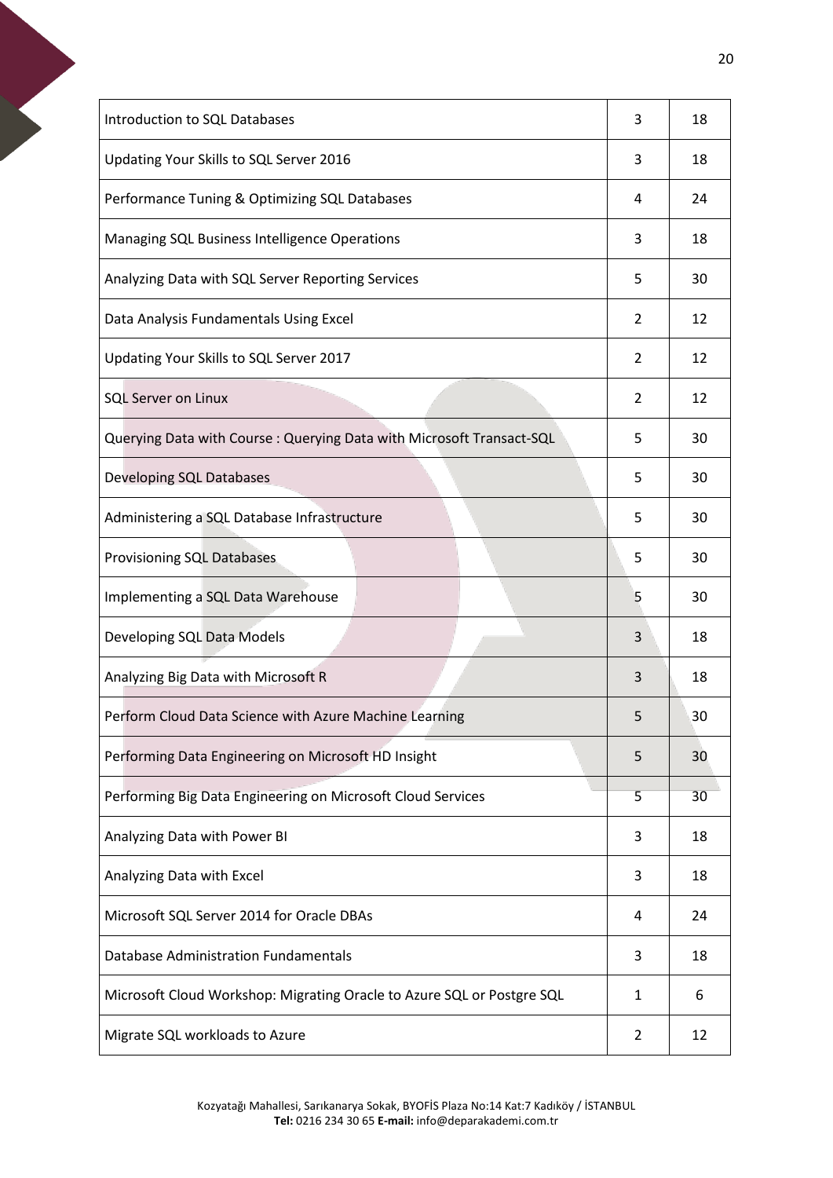| <b>Introduction to SQL Databases</b>                                   | 3            | 18 |
|------------------------------------------------------------------------|--------------|----|
| Updating Your Skills to SQL Server 2016                                | 3            | 18 |
| Performance Tuning & Optimizing SQL Databases                          | 4            | 24 |
| Managing SQL Business Intelligence Operations                          | 3            | 18 |
| Analyzing Data with SQL Server Reporting Services                      | 5            | 30 |
| Data Analysis Fundamentals Using Excel                                 | 2            | 12 |
| Updating Your Skills to SQL Server 2017                                | 2            | 12 |
| <b>SQL Server on Linux</b>                                             | 2            | 12 |
| Querying Data with Course: Querying Data with Microsoft Transact-SQL   | 5            | 30 |
| <b>Developing SQL Databases</b>                                        | 5            | 30 |
| Administering a SQL Database Infrastructure                            | 5            | 30 |
| Provisioning SQL Databases                                             | 5            | 30 |
| Implementing a SQL Data Warehouse                                      | 5            | 30 |
| Developing SQL Data Models                                             | 3            | 18 |
| Analyzing Big Data with Microsoft R                                    | 3            | 18 |
| Perform Cloud Data Science with Azure Machine Learning                 | 5            | 30 |
| Performing Data Engineering on Microsoft HD Insight                    | 5            | 30 |
| Performing Big Data Engineering on Microsoft Cloud Services            | 5            | 30 |
| Analyzing Data with Power BI                                           | 3            | 18 |
| Analyzing Data with Excel                                              | 3            | 18 |
| Microsoft SQL Server 2014 for Oracle DBAs                              | 4            | 24 |
| <b>Database Administration Fundamentals</b>                            |              |    |
|                                                                        | 3            | 18 |
| Microsoft Cloud Workshop: Migrating Oracle to Azure SQL or Postgre SQL | $\mathbf{1}$ | 6  |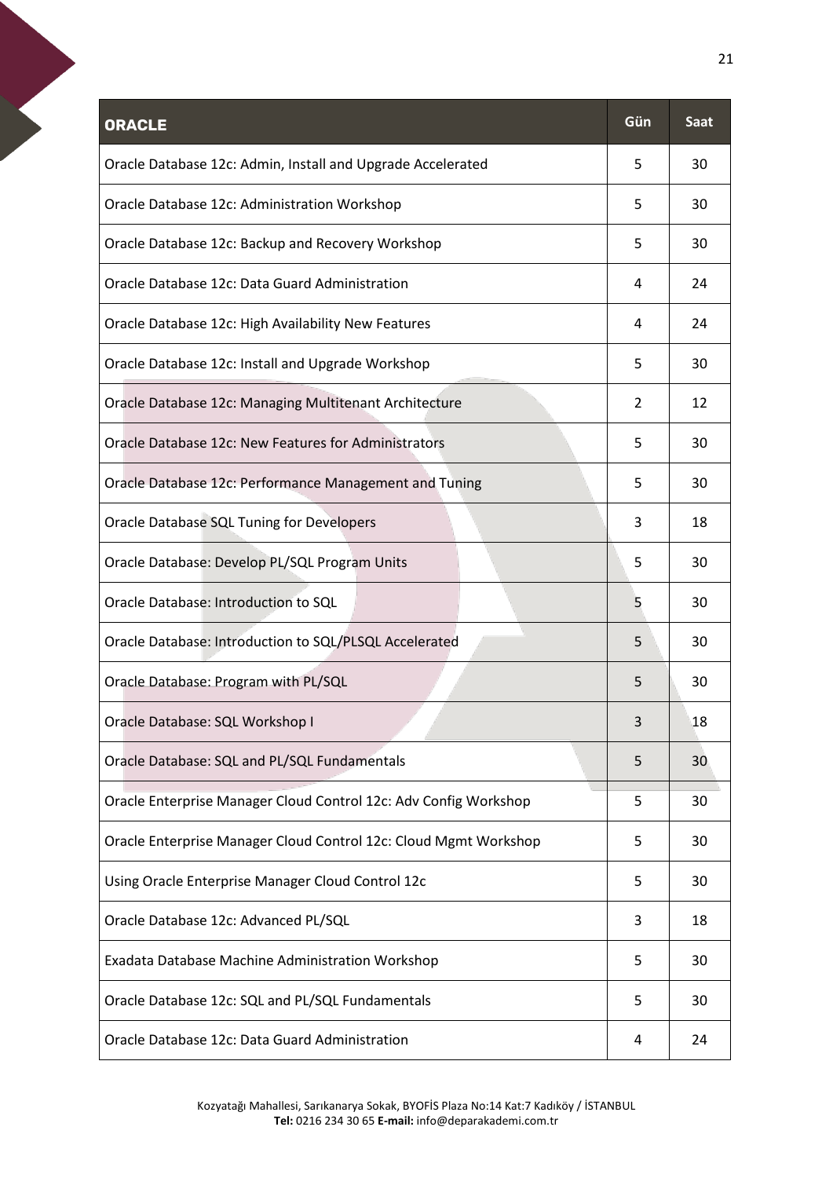<span id="page-20-0"></span>

| <b>ORACLE</b>                                                    | Gün | Saat |
|------------------------------------------------------------------|-----|------|
| Oracle Database 12c: Admin, Install and Upgrade Accelerated      | 5   | 30   |
| Oracle Database 12c: Administration Workshop                     | 5   | 30   |
| Oracle Database 12c: Backup and Recovery Workshop                | 5   | 30   |
| Oracle Database 12c: Data Guard Administration                   | 4   | 24   |
| Oracle Database 12c: High Availability New Features              | 4   | 24   |
| Oracle Database 12c: Install and Upgrade Workshop                | 5   | 30   |
| Oracle Database 12c: Managing Multitenant Architecture           | 2   | 12   |
| Oracle Database 12c: New Features for Administrators             | 5   | 30   |
| Oracle Database 12c: Performance Management and Tuning           | 5   | 30   |
| Oracle Database SQL Tuning for Developers                        | 3   | 18   |
| Oracle Database: Develop PL/SQL Program Units                    | 5   | 30   |
| Oracle Database: Introduction to SQL                             | 5   | 30   |
| Oracle Database: Introduction to SQL/PLSQL Accelerated           | 5   | 30   |
| Oracle Database: Program with PL/SQL                             | 5   | 30   |
| Oracle Database: SQL Workshop I                                  | 3   | 18   |
| Oracle Database: SQL and PL/SQL Fundamentals                     | 5   | 30   |
| Oracle Enterprise Manager Cloud Control 12c: Adv Config Workshop | 5   | 30   |
| Oracle Enterprise Manager Cloud Control 12c: Cloud Mgmt Workshop | 5   | 30   |
| Using Oracle Enterprise Manager Cloud Control 12c                | 5   | 30   |
| Oracle Database 12c: Advanced PL/SQL                             | 3   | 18   |
| Exadata Database Machine Administration Workshop                 | 5   | 30   |
| Oracle Database 12c: SQL and PL/SQL Fundamentals                 | 5   | 30   |
| Oracle Database 12c: Data Guard Administration                   | 4   | 24   |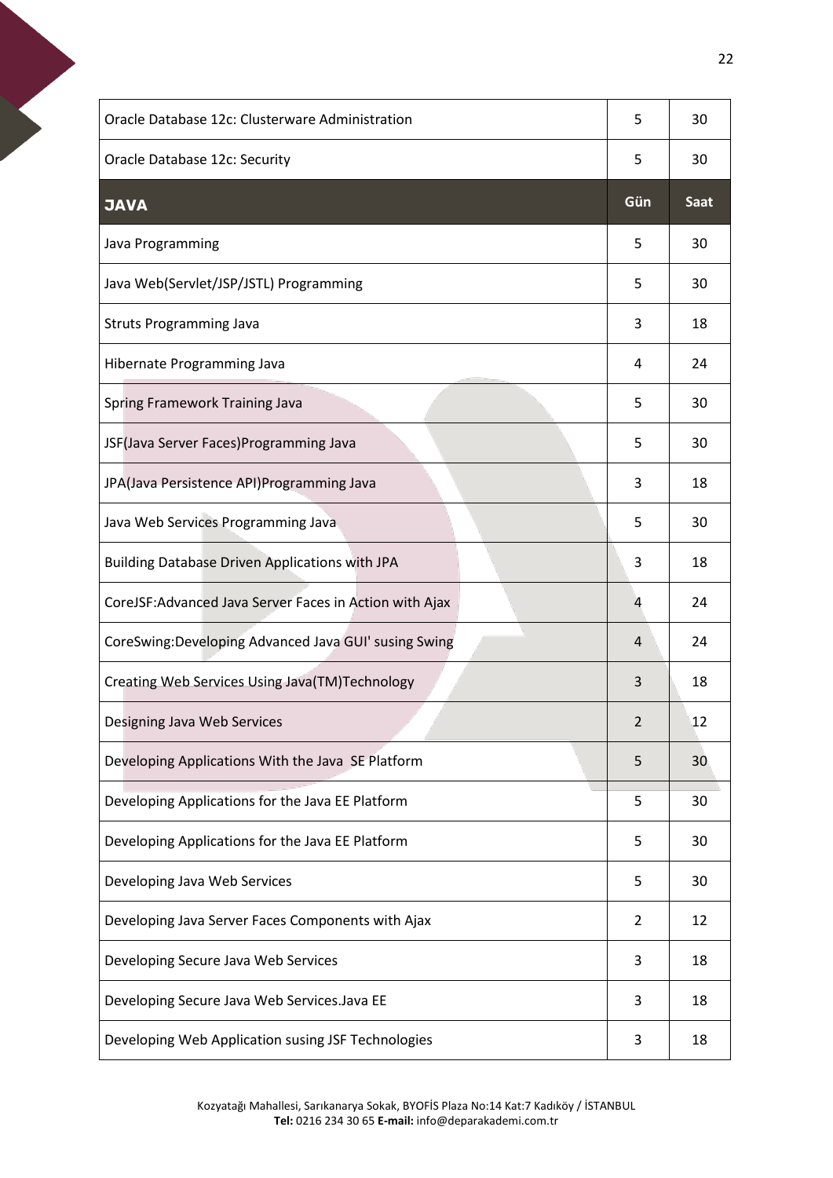<span id="page-21-0"></span>

| Oracle Database 12c: Clusterware Administration         | 5              | 30          |
|---------------------------------------------------------|----------------|-------------|
| Oracle Database 12c: Security                           | 5              | 30          |
| <b>JAVA</b>                                             | Gün            | <b>Saat</b> |
| Java Programming                                        | 5              | 30          |
| Java Web(Servlet/JSP/JSTL) Programming                  | 5              | 30          |
| <b>Struts Programming Java</b>                          | 3              | 18          |
| Hibernate Programming Java                              | 4              | 24          |
| Spring Framework Training Java                          | 5              | 30          |
| JSF(Java Server Faces)Programming Java                  | 5              | 30          |
| JPA(Java Persistence API)Programming Java               | 3              | 18          |
| Java Web Services Programming Java                      | 5              | 30          |
| <b>Building Database Driven Applications with JPA</b>   | 3              | 18          |
| CoreJSF: Advanced Java Server Faces in Action with Ajax | 4              | 24          |
| CoreSwing:Developing Advanced Java GUI' susing Swing    | 4              | 24          |
| Creating Web Services Using Java(TM)Technology          | 3              | 18          |
| Designing Java Web Services                             | $\overline{2}$ | 12          |
| Developing Applications With the Java SE Platform       | 5              | 30          |
| Developing Applications for the Java EE Platform        | 5              | 30          |
| Developing Applications for the Java EE Platform        | 5              | 30          |
| Developing Java Web Services                            | 5              | 30          |
| Developing Java Server Faces Components with Ajax       | $\overline{2}$ | 12          |
| Developing Secure Java Web Services                     | 3              | 18          |
| Developing Secure Java Web Services. Java EE            | 3              | 18          |
| Developing Web Application susing JSF Technologies      | 3              | 18          |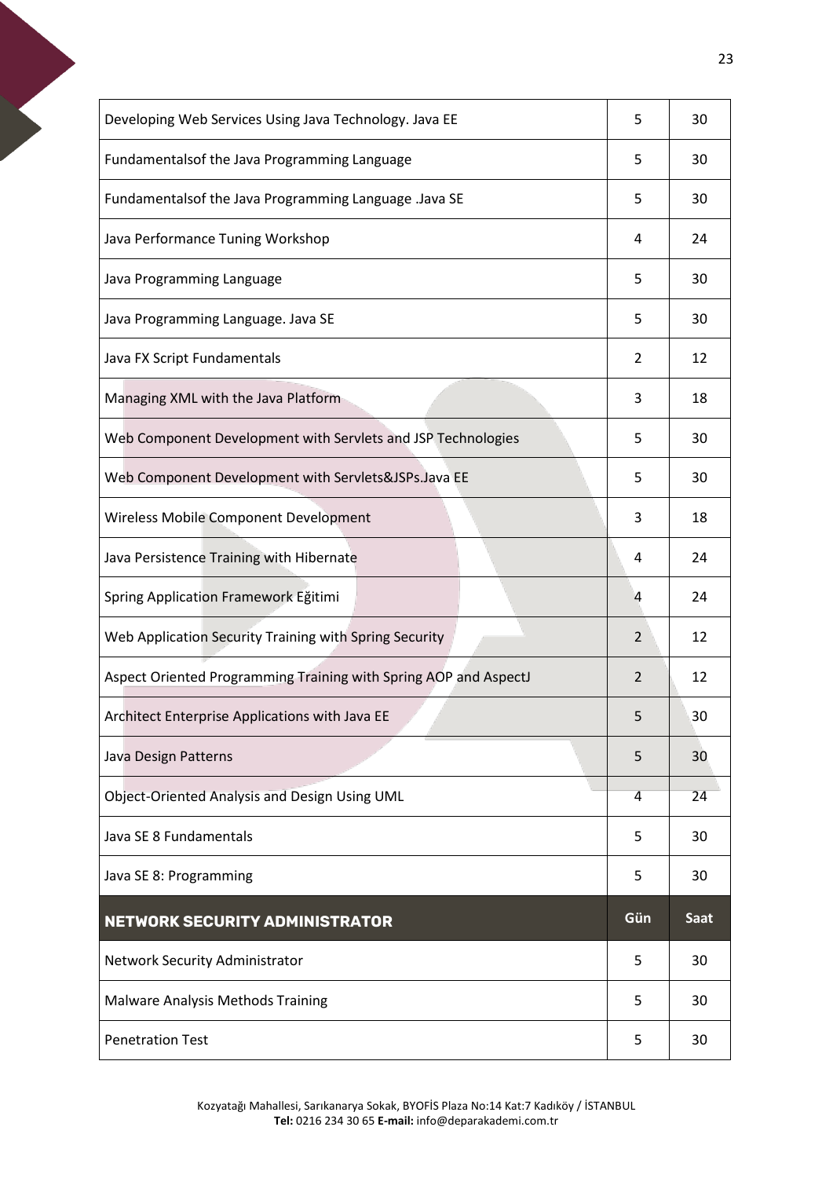<span id="page-22-0"></span>

| Developing Web Services Using Java Technology. Java EE           | 5   | 30          |
|------------------------------------------------------------------|-----|-------------|
| Fundamentalsof the Java Programming Language                     | 5   | 30          |
| Fundamentalsof the Java Programming Language .Java SE            | 5   | 30          |
| Java Performance Tuning Workshop                                 | 4   | 24          |
| Java Programming Language                                        | 5   | 30          |
| Java Programming Language. Java SE                               | 5   | 30          |
| Java FX Script Fundamentals                                      | 2   | 12          |
| Managing XML with the Java Platform                              | 3   | 18          |
| Web Component Development with Servlets and JSP Technologies     | 5   | 30          |
| Web Component Development with Servlets&JSPs.Java EE             | 5   | 30          |
| Wireless Mobile Component Development                            | 3   | 18          |
| Java Persistence Training with Hibernate                         | 4   | 24          |
| Spring Application Framework Eğitimi                             | 4   | 24          |
| Web Application Security Training with Spring Security           | 2   | 12          |
| Aspect Oriented Programming Training with Spring AOP and AspectJ | 2   | 12          |
| Architect Enterprise Applications with Java EE                   | 5   | 30          |
| Java Design Patterns                                             | 5   | 30          |
| Object-Oriented Analysis and Design Using UML                    | 4   | 24          |
| Java SE 8 Fundamentals                                           | 5   | 30          |
| Java SE 8: Programming                                           | 5   | 30          |
| <b>NETWORK SECURITY ADMINISTRATOR</b>                            | Gün | <b>Saat</b> |
| Network Security Administrator                                   | 5   | 30          |
| <b>Malware Analysis Methods Training</b>                         | 5   | 30          |
| <b>Penetration Test</b>                                          | 5   | 30          |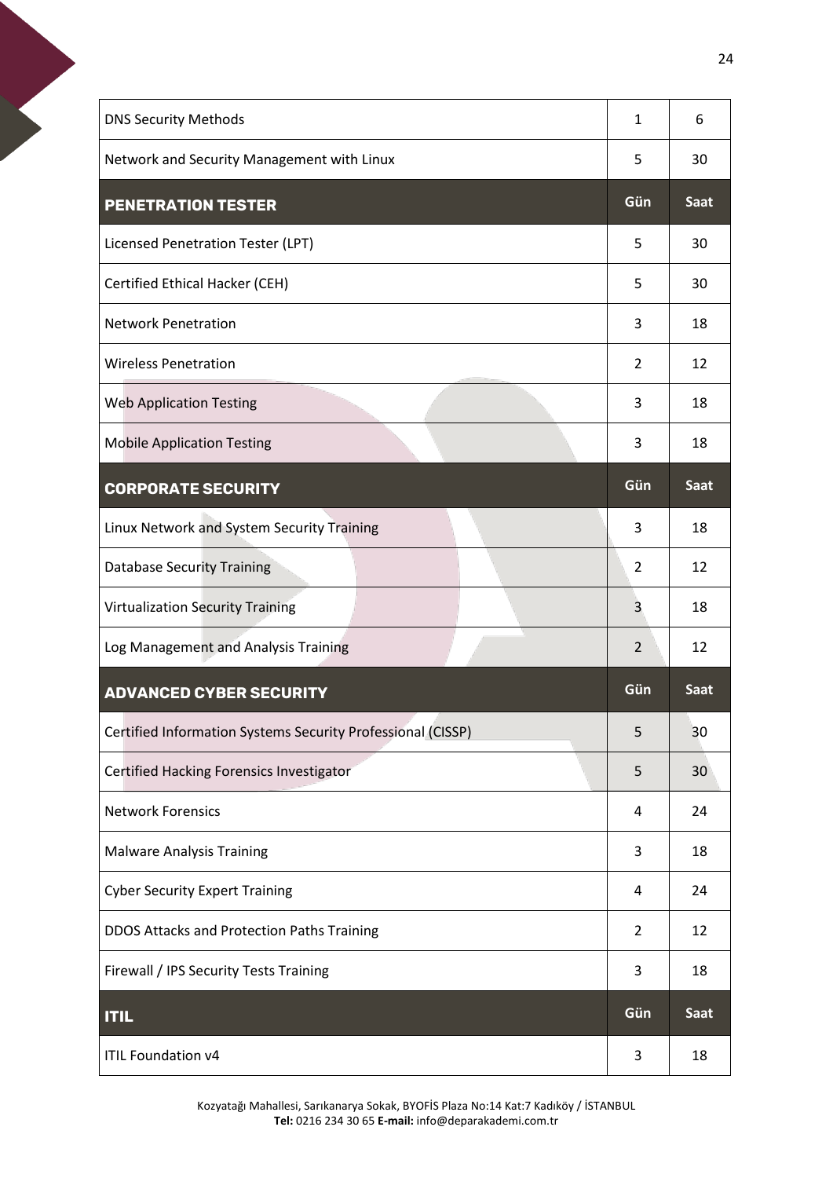<span id="page-23-1"></span><span id="page-23-0"></span>

| <b>DNS Security Methods</b>                                 | $\mathbf{1}$   | 6               |
|-------------------------------------------------------------|----------------|-----------------|
| Network and Security Management with Linux                  | 5              | 30              |
| <b>PENETRATION TESTER</b>                                   | Gün            | Saat            |
| Licensed Penetration Tester (LPT)                           | 5              | 30              |
| Certified Ethical Hacker (CEH)                              | 5              | 30              |
| <b>Network Penetration</b>                                  | 3              | 18              |
| <b>Wireless Penetration</b>                                 | 2              | 12              |
| <b>Web Application Testing</b>                              | 3              | 18              |
| <b>Mobile Application Testing</b>                           | 3              | 18              |
| <b>CORPORATE SECURITY</b>                                   | Gün            | <b>Saat</b>     |
| Linux Network and System Security Training                  | 3              | 18              |
| <b>Database Security Training</b>                           | $\overline{2}$ | 12              |
| <b>Virtualization Security Training</b>                     | 3              | 18              |
| Log Management and Analysis Training                        | $\overline{2}$ | 12              |
| <b>ADVANCED CYBER SECURITY</b>                              | Gün            |                 |
|                                                             |                | <b>Saat</b>     |
| Certified Information Systems Security Professional (CISSP) | 5              | 30              |
| Certified Hacking Forensics Investigator                    | 5              | 30 <sup>7</sup> |
| <b>Network Forensics</b>                                    | 4              | 24              |
| <b>Malware Analysis Training</b>                            | 3              | 18              |
| <b>Cyber Security Expert Training</b>                       | 4              | 24              |
| DDOS Attacks and Protection Paths Training                  | $\overline{2}$ | 12              |
| Firewall / IPS Security Tests Training                      | 3              | 18              |
| <b>ITIL</b>                                                 | Gün            | <b>Saat</b>     |

<span id="page-23-3"></span><span id="page-23-2"></span>Kozyatağı Mahallesi, Sarıkanarya Sokak, BYOFİS Plaza No:14 Kat:7 Kadıköy / İSTANBUL **Tel:** 0216 234 30 65 **E-mail:** info@deparakademi.com.tr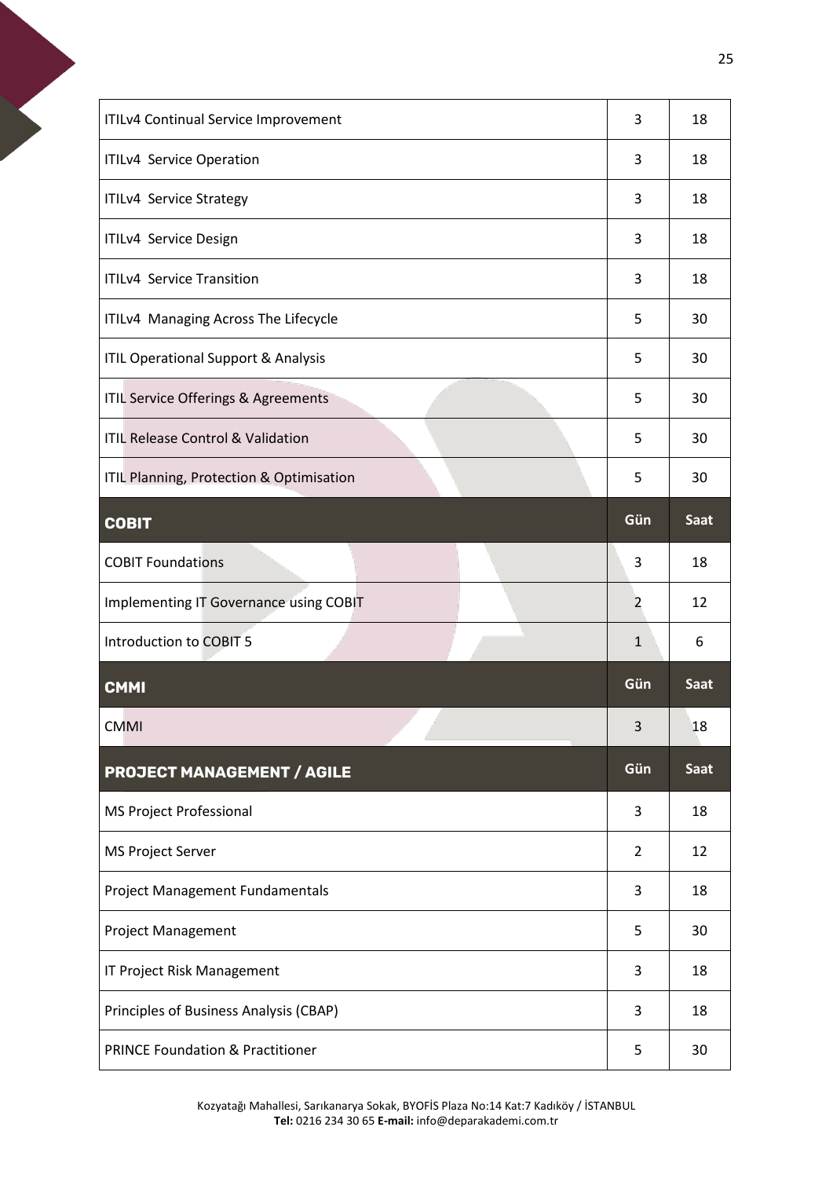<span id="page-24-2"></span><span id="page-24-1"></span><span id="page-24-0"></span>

| ITILv4 Continual Service Improvement           | 3              | 18          |
|------------------------------------------------|----------------|-------------|
| ITILv4 Service Operation                       | 3              | 18          |
| ITILv4 Service Strategy                        | 3              | 18          |
| ITILv4 Service Design                          | 3              | 18          |
| <b>ITILv4 Service Transition</b>               | 3              | 18          |
| ITILv4 Managing Across The Lifecycle           | 5              | 30          |
| <b>ITIL Operational Support &amp; Analysis</b> | 5              | 30          |
| ITIL Service Offerings & Agreements            | 5              | 30          |
| <b>ITIL Release Control &amp; Validation</b>   | 5              | 30          |
| ITIL Planning, Protection & Optimisation       | 5              | 30          |
| <b>COBIT</b>                                   | Gün            | Saat        |
| <b>COBIT Foundations</b>                       | 3              | 18          |
| Implementing IT Governance using COBIT         | 2              | 12          |
| Introduction to COBIT 5                        | $\mathbf{1}$   | 6           |
| <b>CMMI</b>                                    |                |             |
|                                                | Gün            | <b>Saat</b> |
| <b>CMMI</b>                                    | 3              | 18          |
| <b>PROJECT MANAGEMENT / AGILE</b>              | Gün            | Saat        |
| MS Project Professional                        | 3              | 18          |
| <b>MS Project Server</b>                       | $\overline{2}$ | 12          |
| Project Management Fundamentals                | 3              | 18          |
| <b>Project Management</b>                      | 5              | 30          |
| IT Project Risk Management                     | 3              | 18          |
| Principles of Business Analysis (CBAP)         | 3              | 18          |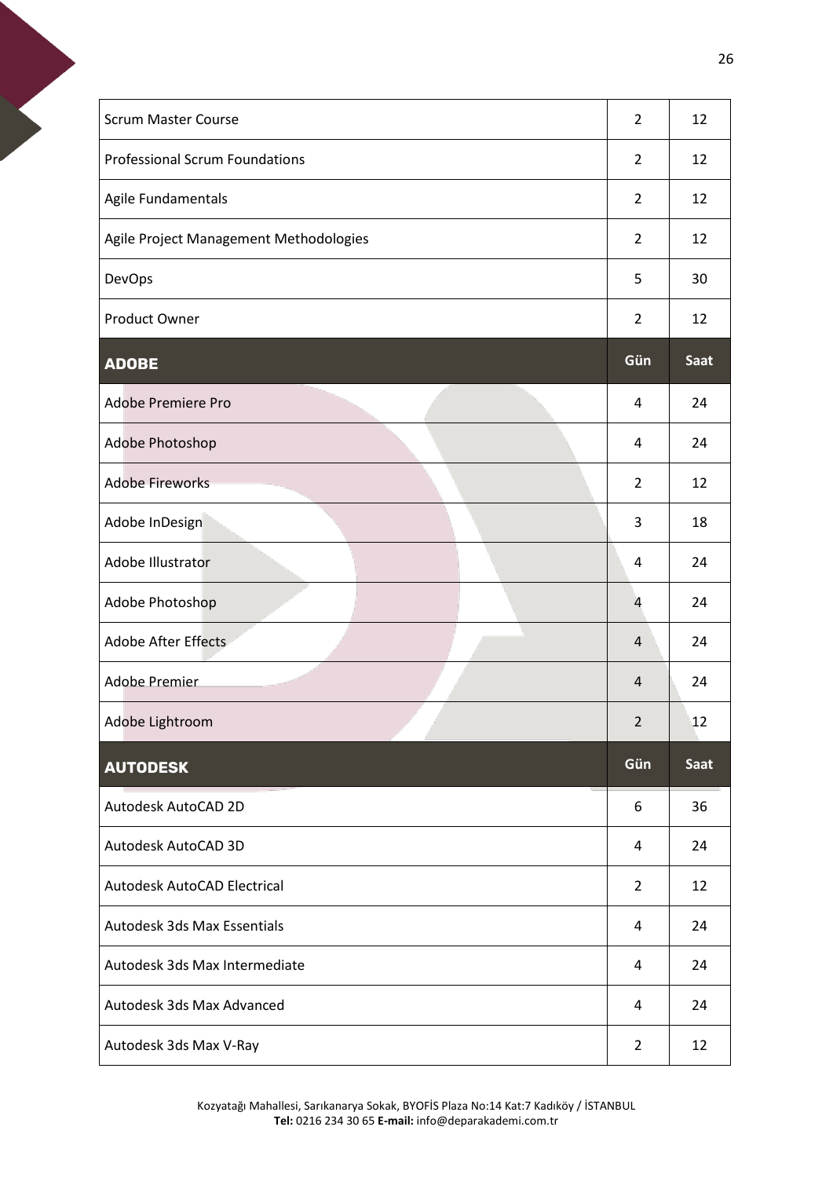<span id="page-25-1"></span><span id="page-25-0"></span>

| <b>Scrum Master Course</b>             | $\overline{2}$ | 12          |
|----------------------------------------|----------------|-------------|
| <b>Professional Scrum Foundations</b>  | $\overline{2}$ | 12          |
| Agile Fundamentals                     | $\overline{2}$ | 12          |
| Agile Project Management Methodologies | $\overline{2}$ | 12          |
| <b>DevOps</b>                          | 5              | 30          |
| Product Owner                          | $\overline{2}$ | 12          |
| <b>ADOBE</b>                           | Gün            | <b>Saat</b> |
| Adobe Premiere Pro                     | 4              | 24          |
| Adobe Photoshop                        | 4              | 24          |
| <b>Adobe Fireworks</b>                 | $\overline{2}$ | 12          |
| Adobe InDesign                         | 3              | 18          |
| <b>Adobe Illustrator</b>               | 4              | 24          |
| Adobe Photoshop                        | $\overline{4}$ | 24          |
| <b>Adobe After Effects</b>             | $\overline{4}$ | 24          |
| <b>Adobe Premier</b>                   | 4              | 24          |
| Adobe Lightroom                        | $\overline{2}$ | 12          |
| <b>AUTODESK</b>                        | Gün            | Saat        |
| Autodesk AutoCAD 2D                    | 6              | 36          |
| Autodesk AutoCAD 3D                    | 4              | 24          |
| Autodesk AutoCAD Electrical            | $\overline{2}$ | 12          |
| <b>Autodesk 3ds Max Essentials</b>     | 4              | 24          |
| Autodesk 3ds Max Intermediate          | 4              | 24          |
| Autodesk 3ds Max Advanced              | 4              | 24          |
| Autodesk 3ds Max V-Ray                 | $\overline{2}$ | 12          |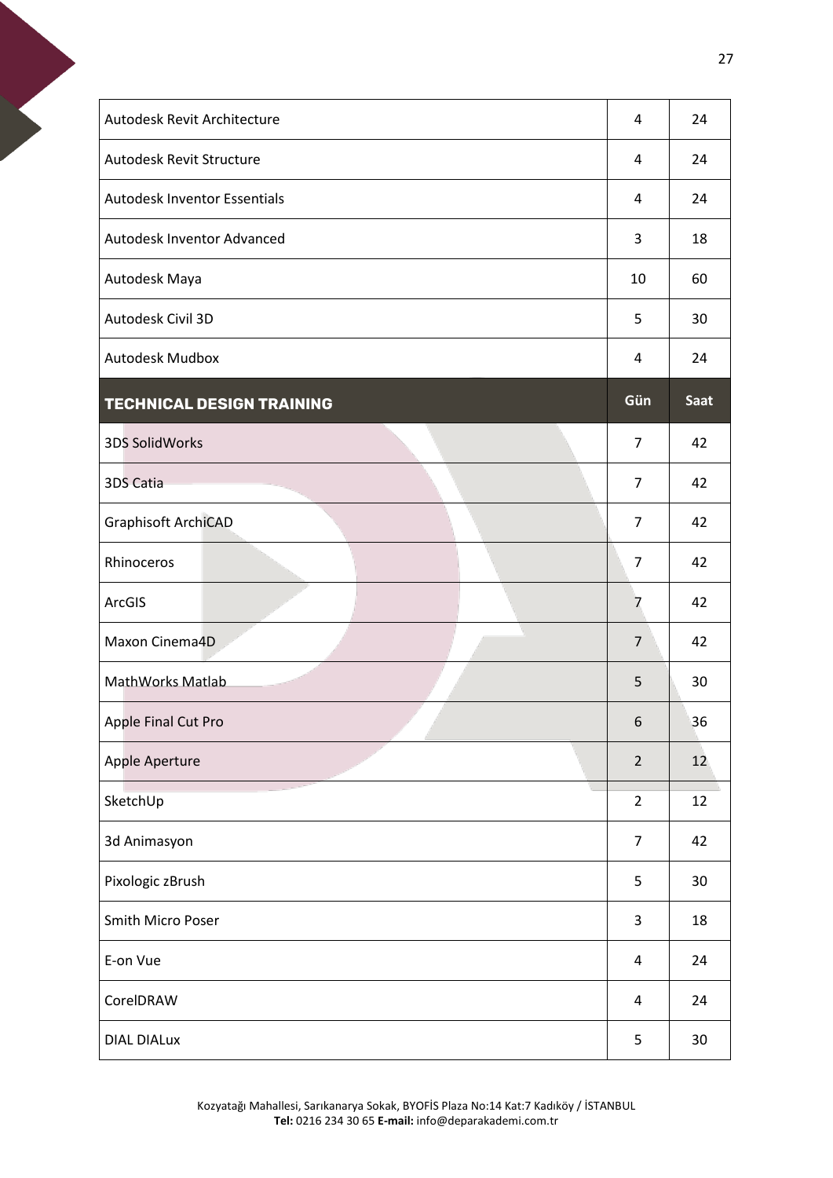<span id="page-26-0"></span>

| Autodesk Revit Architecture         | 4              | 24   |
|-------------------------------------|----------------|------|
| Autodesk Revit Structure            | 4              | 24   |
| <b>Autodesk Inventor Essentials</b> | 4              | 24   |
| Autodesk Inventor Advanced          | 3              | 18   |
| Autodesk Maya                       | 10             | 60   |
| Autodesk Civil 3D                   | 5              | 30   |
| <b>Autodesk Mudbox</b>              | 4              | 24   |
| <b>TECHNICAL DESIGN TRAINING</b>    | Gün            | Saat |
| 3DS SolidWorks                      | $\overline{7}$ | 42   |
| 3DS Catia                           | $\overline{7}$ | 42   |
| Graphisoft ArchiCAD                 | 7              | 42   |
| Rhinoceros                          | 7              | 42   |
| ArcGIS                              | 7              | 42   |
| Maxon Cinema4D                      | $\overline{7}$ | 42   |
| MathWorks Matlab                    | 5              | 30   |
| Apple Final Cut Pro                 | 6              | 36   |
| Apple Aperture                      | $\overline{2}$ | 12   |
| SketchUp                            | $\overline{2}$ | 12   |
| 3d Animasyon                        | $\overline{7}$ | 42   |
| Pixologic zBrush                    | 5              | 30   |
| Smith Micro Poser                   | 3              | 18   |
| E-on Vue                            | 4              | 24   |
| CorelDRAW                           | 4              | 24   |
| <b>DIAL DIALux</b>                  | 5              | 30   |